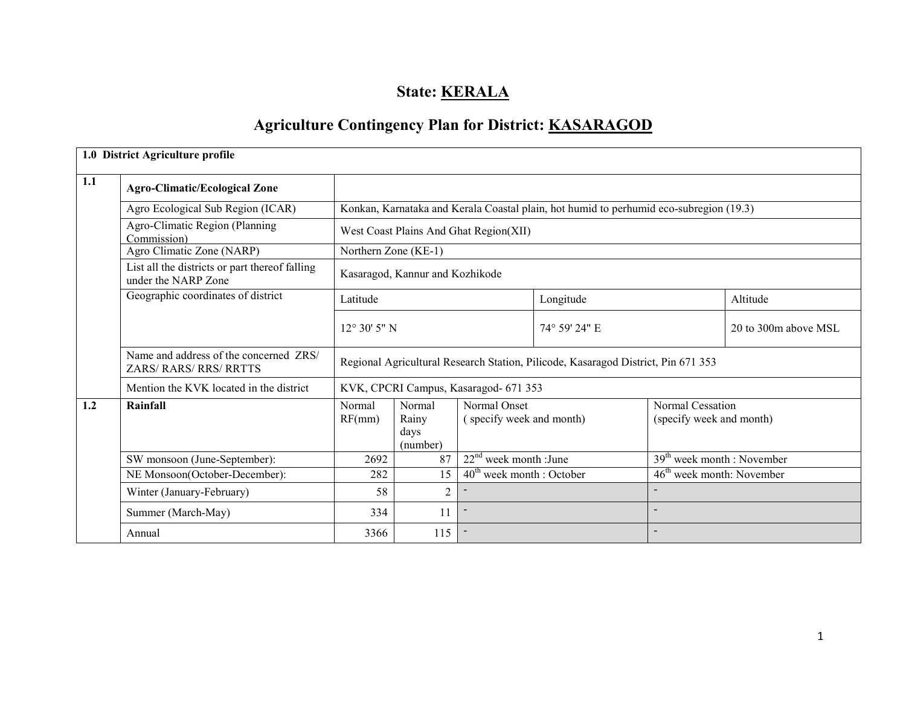# State: **KERALA**

# Agriculture Contingency Plan for District: KASARAGOD

|     | 1.0 District Agriculture profile                                        |                                                                                        |                                     |                                          |               |                                              |                            |  |  |
|-----|-------------------------------------------------------------------------|----------------------------------------------------------------------------------------|-------------------------------------|------------------------------------------|---------------|----------------------------------------------|----------------------------|--|--|
| 1.1 | <b>Agro-Climatic/Ecological Zone</b>                                    |                                                                                        |                                     |                                          |               |                                              |                            |  |  |
|     | Agro Ecological Sub Region (ICAR)                                       | Konkan, Karnataka and Kerala Coastal plain, hot humid to perhumid eco-subregion (19.3) |                                     |                                          |               |                                              |                            |  |  |
|     | Agro-Climatic Region (Planning<br>Commission)                           | West Coast Plains And Ghat Region(XII)                                                 |                                     |                                          |               |                                              |                            |  |  |
|     | Agro Climatic Zone (NARP)                                               | Northern Zone (KE-1)                                                                   |                                     |                                          |               |                                              |                            |  |  |
|     | List all the districts or part thereof falling<br>under the NARP Zone   |                                                                                        | Kasaragod, Kannur and Kozhikode     |                                          |               |                                              |                            |  |  |
|     | Geographic coordinates of district                                      | Latitude                                                                               |                                     |                                          | Longitude     |                                              | Altitude                   |  |  |
|     |                                                                         | $12^{\circ} 30' 5'' N$                                                                 |                                     |                                          | 74° 59' 24" E |                                              | $20$ to $300$ m above MSL. |  |  |
|     | Name and address of the concerned ZRS/<br><b>ZARS/ RARS/ RRS/ RRTTS</b> | Regional Agricultural Research Station, Pilicode, Kasaragod District, Pin 671 353      |                                     |                                          |               |                                              |                            |  |  |
|     | Mention the KVK located in the district                                 |                                                                                        |                                     | KVK, CPCRI Campus, Kasaragod- 671 353    |               |                                              |                            |  |  |
| 1.2 | Rainfall                                                                | Normal<br>RF(mm)                                                                       | Normal<br>Rainy<br>days<br>(number) | Normal Onset<br>(specify week and month) |               | Normal Cessation<br>(specify week and month) |                            |  |  |
|     | SW monsoon (June-September):                                            | 2692                                                                                   | 87                                  | $22nd$ week month : June                 |               | $39th$ week month : November                 |                            |  |  |
|     | NE Monsoon(October-December):                                           | 282<br>15<br>$\overline{2}$<br>58                                                      |                                     | $40^{\text{th}}$ week month : October    |               | 46 <sup>th</sup> week month: November        |                            |  |  |
|     | Winter (January-February)                                               |                                                                                        |                                     |                                          |               |                                              |                            |  |  |
|     | Summer (March-May)                                                      | 334                                                                                    | 11                                  | $\blacksquare$                           |               |                                              |                            |  |  |
|     | Annual                                                                  | 3366                                                                                   | 115                                 |                                          |               |                                              |                            |  |  |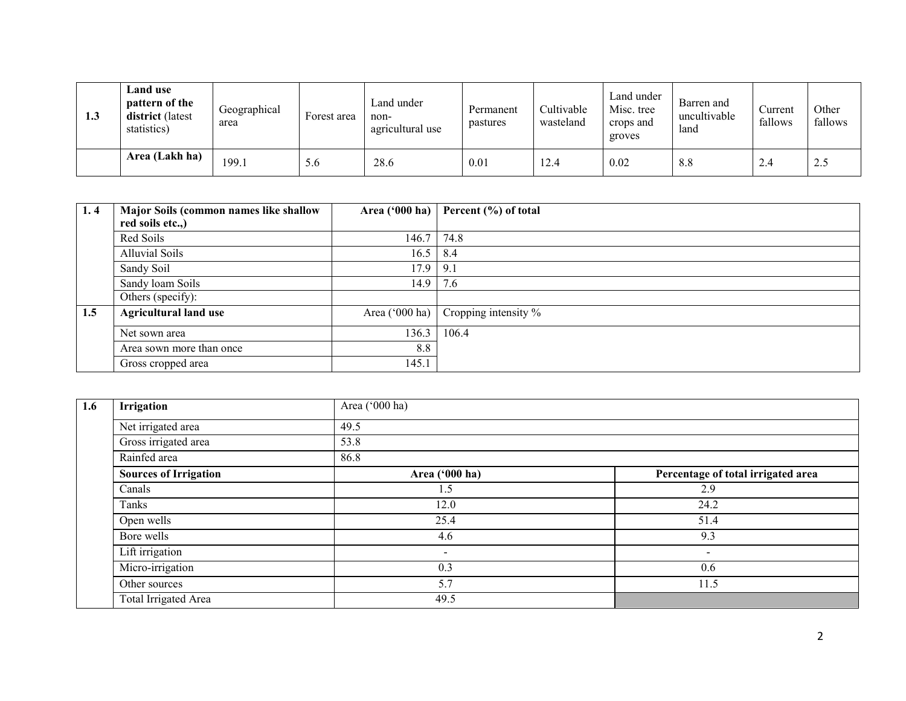| 1.3 | <b>Land use</b><br>pattern of the<br>district (latest<br>statistics) | Geographical<br>area | $\blacksquare$<br>Forest area | Land under<br>non-<br>agricultural use | Permanent<br>pastures | Cultivable<br>wasteland | Land under<br>Misc. tree<br>crops and<br>groves | Barren and<br>uncultivable<br>land | Current<br>fallows | Other<br>fallows |
|-----|----------------------------------------------------------------------|----------------------|-------------------------------|----------------------------------------|-----------------------|-------------------------|-------------------------------------------------|------------------------------------|--------------------|------------------|
|     | Area (Lakh ha)                                                       | 199.1                | 5.6                           | 28.6                                   | 0.01                  | 12.4                    | 0.02                                            | 8.8                                | 2.4                | $\overline{a}$   |

| 1.4 | Major Soils (common names like shallow | Area ('000 ha) $\vert$ | Percent (%) of total    |
|-----|----------------------------------------|------------------------|-------------------------|
|     | red soils etc.,)                       |                        |                         |
|     | Red Soils                              | 146.7                  | 74.8                    |
|     | <b>Alluvial Soils</b>                  | 16.5                   | 8.4                     |
|     | Sandy Soil                             | $17.9$ 9.1             |                         |
|     | Sandy loam Soils                       | 14.9                   | 7.6                     |
|     | Others (specify):                      |                        |                         |
| 1.5 | <b>Agricultural land use</b>           | Area ('000 ha)         | Cropping intensity $\%$ |
|     | Net sown area                          | 136.3                  | 106.4                   |
|     | Area sown more than once               | 8.8                    |                         |
|     | Gross cropped area                     | 145.1                  |                         |

| 1.6 | Irrigation                   | Area ('000 ha)           |                                    |  |  |  |  |  |  |
|-----|------------------------------|--------------------------|------------------------------------|--|--|--|--|--|--|
|     | Net irrigated area           | 49.5                     |                                    |  |  |  |  |  |  |
|     | Gross irrigated area         | 53.8                     |                                    |  |  |  |  |  |  |
|     | Rainfed area                 | 86.8                     |                                    |  |  |  |  |  |  |
|     | <b>Sources of Irrigation</b> | Area ('000 ha)           | Percentage of total irrigated area |  |  |  |  |  |  |
|     | Canals                       | 1.5                      | 2.9                                |  |  |  |  |  |  |
|     | Tanks                        | 12.0                     | 24.2                               |  |  |  |  |  |  |
|     | Open wells                   | 25.4                     | 51.4                               |  |  |  |  |  |  |
|     | Bore wells                   | 4.6                      | 9.3                                |  |  |  |  |  |  |
|     | Lift irrigation              | $\overline{\phantom{a}}$ | $\overline{\phantom{a}}$           |  |  |  |  |  |  |
|     | Micro-irrigation             | 0.3                      | 0.6                                |  |  |  |  |  |  |
|     | Other sources                | 5.7                      | 11.5                               |  |  |  |  |  |  |
|     | Total Irrigated Area         | 49.5                     |                                    |  |  |  |  |  |  |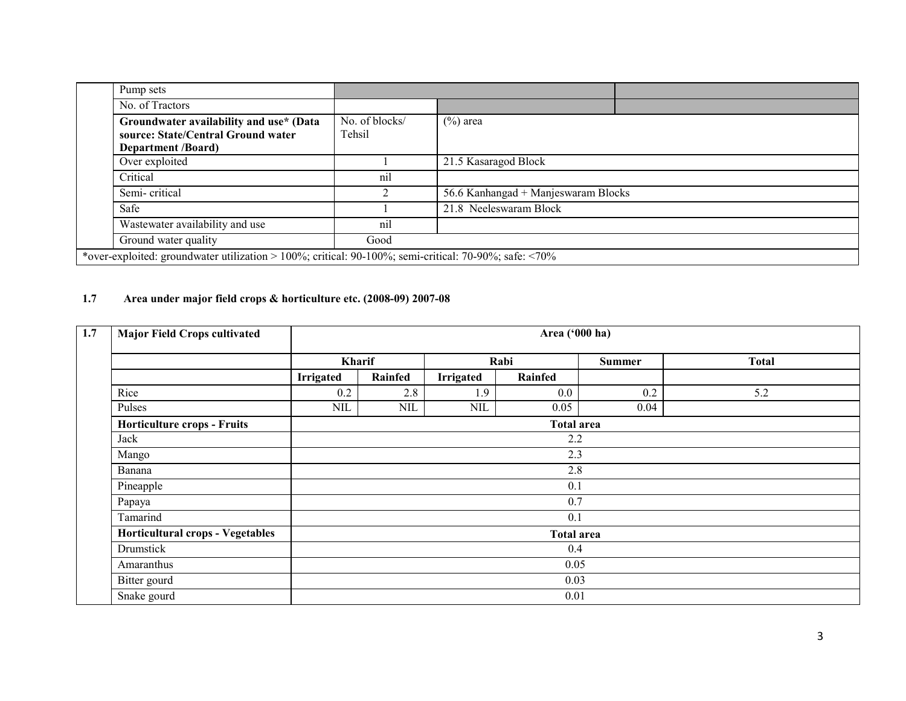| Pump sets                                                                                                  |                          |                                     |  |  |
|------------------------------------------------------------------------------------------------------------|--------------------------|-------------------------------------|--|--|
| No. of Tractors                                                                                            |                          |                                     |  |  |
| Groundwater availability and use* (Data<br>source: State/Central Ground water<br><b>Department /Board)</b> | No. of blocks/<br>Tehsil | $(\%)$ area                         |  |  |
| Over exploited                                                                                             |                          | 21.5 Kasaragod Block                |  |  |
| Critical                                                                                                   | nil                      |                                     |  |  |
| Semi-critical                                                                                              | ◠                        | 56.6 Kanhangad + Manjeswaram Blocks |  |  |
| Safe                                                                                                       |                          | 21.8 Neeleswaram Block              |  |  |
| Wastewater availability and use                                                                            | nil                      |                                     |  |  |
| Ground water quality                                                                                       | Good                     |                                     |  |  |
| *over-exploited: groundwater utilization > 100%; critical: 90-100%; semi-critical: 70-90%; safe: <70%      |                          |                                     |  |  |

#### 1.7 Area under major field crops & horticulture etc. (2008-09) 2007-08

| 1.7 | <b>Major Field Crops cultivated</b> |              | Area ('000 ha)    |                  |                   |               |              |  |  |  |
|-----|-------------------------------------|--------------|-------------------|------------------|-------------------|---------------|--------------|--|--|--|
|     |                                     | Kharif       |                   |                  | Rabi              | <b>Summer</b> | <b>Total</b> |  |  |  |
|     |                                     | Irrigated    | Rainfed           | <b>Irrigated</b> | Rainfed           |               |              |  |  |  |
|     | Rice                                | 0.2          | 2.8               | 1.9              | $0.0\,$           | 0.2           | 5.2          |  |  |  |
|     | Pulses                              | $\text{NIL}$ | <b>NIL</b>        | NIL              | 0.05              | 0.04          |              |  |  |  |
|     | <b>Horticulture crops - Fruits</b>  |              | <b>Total area</b> |                  |                   |               |              |  |  |  |
|     | Jack                                |              |                   |                  | 2.2               |               |              |  |  |  |
|     | Mango                               |              | 2.3               |                  |                   |               |              |  |  |  |
|     | Banana                              | 2.8          |                   |                  |                   |               |              |  |  |  |
|     | Pineapple                           | 0.1          |                   |                  |                   |               |              |  |  |  |
|     | Papaya                              |              |                   |                  | 0.7               |               |              |  |  |  |
|     | Tamarind                            |              |                   |                  | 0.1               |               |              |  |  |  |
|     | Horticultural crops - Vegetables    |              |                   |                  | <b>Total area</b> |               |              |  |  |  |
|     | Drumstick                           | 0.4          |                   |                  |                   |               |              |  |  |  |
|     | Amaranthus                          | 0.05         |                   |                  |                   |               |              |  |  |  |
|     | Bitter gourd                        | 0.03         |                   |                  |                   |               |              |  |  |  |
|     | Snake gourd                         |              |                   |                  | 0.01              |               |              |  |  |  |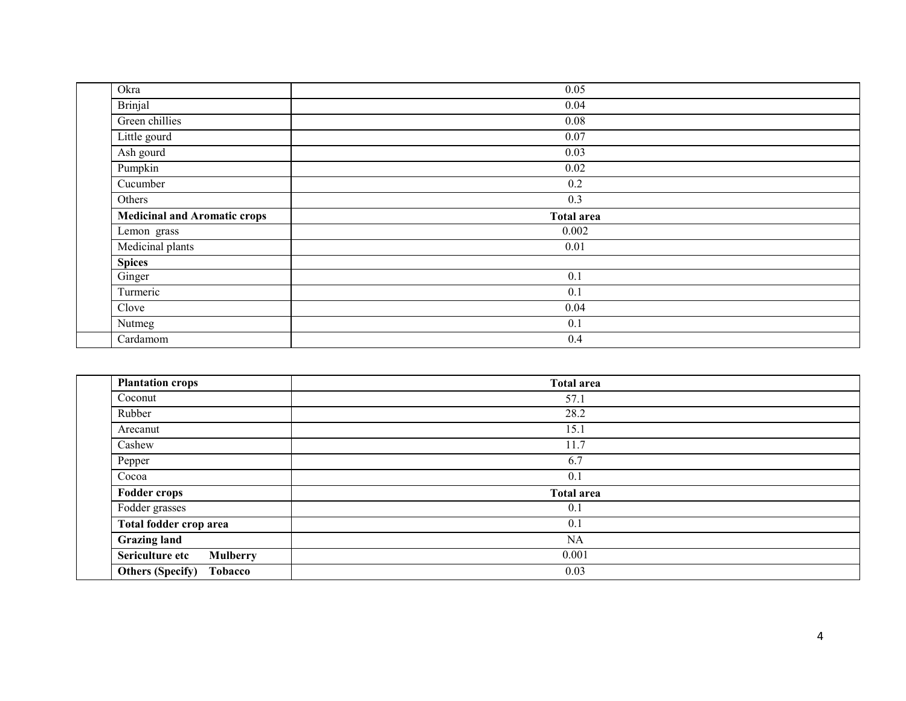| Okra                                | 0.05              |
|-------------------------------------|-------------------|
| <b>Brinjal</b>                      | 0.04              |
| Green chillies                      | 0.08              |
| Little gourd                        | 0.07              |
| Ash gourd                           | 0.03              |
| Pumpkin                             | 0.02              |
| Cucumber                            | 0.2               |
| Others                              | 0.3               |
|                                     |                   |
| <b>Medicinal and Aromatic crops</b> | <b>Total area</b> |
| Lemon grass                         | 0.002             |
| Medicinal plants                    | 0.01              |
| <b>Spices</b>                       |                   |
| Ginger                              | 0.1               |
| Turmeric                            | 0.1               |
| Clove                               | 0.04              |
| Nutmeg                              | 0.1               |

| <b>Plantation crops</b>            | <b>Total area</b> |  |
|------------------------------------|-------------------|--|
| Coconut                            | 57.1              |  |
| Rubber                             | 28.2              |  |
| Arecanut                           | 15.1              |  |
| Cashew                             | 11.7              |  |
| Pepper                             | 6.7               |  |
| Cocoa                              | 0.1               |  |
| <b>Fodder crops</b>                | <b>Total area</b> |  |
| Fodder grasses                     | 0.1               |  |
| Total fodder crop area             | 0.1               |  |
| <b>Grazing land</b>                | NA                |  |
| Sericulture etc<br><b>Mulberry</b> | 0.001             |  |
| <b>Others (Specify)</b><br>Tobacco | 0.03              |  |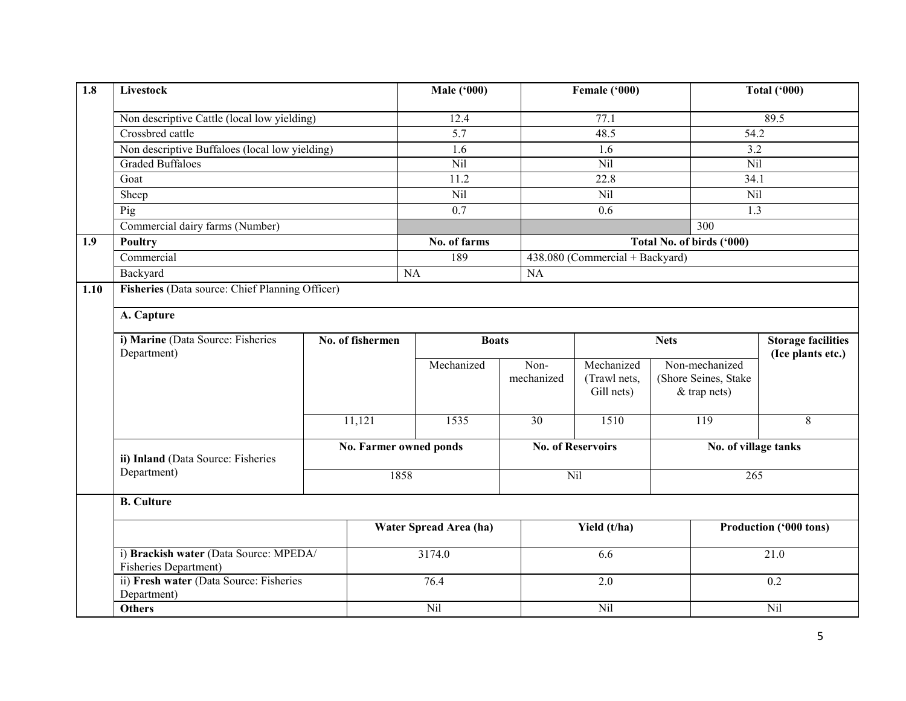| 1.8  | <b>Livestock</b>                                                       |                        | <b>Male ('000)</b>               |                    | Female ('000)                            |  | <b>Total ('000)</b>                                      |                                                |
|------|------------------------------------------------------------------------|------------------------|----------------------------------|--------------------|------------------------------------------|--|----------------------------------------------------------|------------------------------------------------|
|      | Non descriptive Cattle (local low yielding)                            |                        | 12.4                             |                    | 77.1                                     |  |                                                          | 89.5                                           |
|      | Crossbred cattle                                                       |                        | 5.7                              |                    | 48.5                                     |  | 54.2                                                     |                                                |
|      | Non descriptive Buffaloes (local low yielding)                         |                        | 1.6                              |                    | 1.6                                      |  | 3.2                                                      |                                                |
|      | <b>Graded Buffaloes</b>                                                |                        | Nil                              |                    | Nil                                      |  | Nil                                                      |                                                |
|      | Goat                                                                   |                        | 11.2                             |                    | 22.8                                     |  | 34.1                                                     |                                                |
|      | Sheep                                                                  |                        | Nil                              |                    | Nil                                      |  | Nil                                                      |                                                |
|      | Pig                                                                    |                        | 0.7                              |                    | 0.6                                      |  | 1.3                                                      |                                                |
|      | Commercial dairy farms (Number)                                        |                        |                                  |                    |                                          |  | 300                                                      |                                                |
| 1.9  | <b>Poultry</b>                                                         |                        | No. of farms                     |                    |                                          |  | Total No. of birds ('000)                                |                                                |
|      | Commercial                                                             |                        | 189                              |                    | 438.080 (Commercial + Backyard)          |  |                                                          |                                                |
|      | Backyard                                                               |                        | NA                               | NA                 |                                          |  |                                                          |                                                |
| 1.10 | Fisheries (Data source: Chief Planning Officer)                        |                        |                                  |                    |                                          |  |                                                          |                                                |
|      | A. Capture                                                             |                        |                                  |                    |                                          |  |                                                          |                                                |
|      |                                                                        |                        |                                  |                    |                                          |  |                                                          |                                                |
|      | i) Marine (Data Source: Fisheries<br>Department)                       |                        | No. of fishermen<br><b>Boats</b> |                    | <b>Nets</b>                              |  |                                                          | <b>Storage facilities</b><br>(Ice plants etc.) |
|      |                                                                        |                        | Mechanized                       | Non-<br>mechanized | Mechanized<br>(Trawl nets,<br>Gill nets) |  | Non-mechanized<br>(Shore Seines, Stake<br>$&$ trap nets) |                                                |
|      |                                                                        | 11,121                 | 1535                             | $\overline{30}$    | 1510                                     |  | $\overline{119}$                                         | 8                                              |
|      |                                                                        |                        |                                  |                    |                                          |  |                                                          |                                                |
|      | ii) Inland (Data Source: Fisheries                                     | No. Farmer owned ponds |                                  |                    | <b>No. of Reservoirs</b>                 |  | No. of village tanks                                     |                                                |
|      | Department)                                                            |                        | 1858                             |                    | Nil                                      |  | 265                                                      |                                                |
|      | <b>B.</b> Culture                                                      |                        |                                  |                    |                                          |  |                                                          |                                                |
|      |                                                                        |                        | Water Spread Area (ha)           |                    | Yield (t/ha)                             |  | Production ('000 tons)                                   |                                                |
|      | i) Brackish water (Data Source: MPEDA/<br><b>Fisheries Department)</b> |                        | 3174.0                           |                    | 6.6                                      |  | 21.0                                                     |                                                |
|      | ii) Fresh water (Data Source: Fisheries<br>Department)                 |                        | 76.4                             |                    | 2.0                                      |  | 0.2                                                      |                                                |
|      | <b>Others</b>                                                          |                        | Nil                              |                    | Nil                                      |  | Nil                                                      |                                                |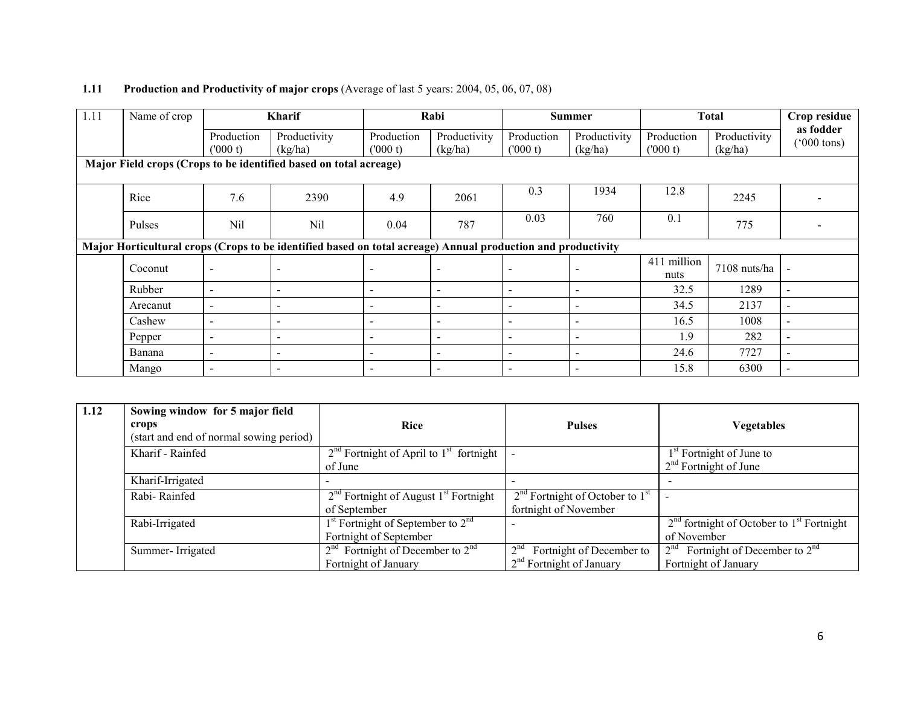| 1.11 | Name of crop |                       | <b>Kharif</b>                                                                                                |                          | Rabi                     |                          | <b>Summer</b>            |                       | <b>Total</b>            | Crop residue                      |
|------|--------------|-----------------------|--------------------------------------------------------------------------------------------------------------|--------------------------|--------------------------|--------------------------|--------------------------|-----------------------|-------------------------|-----------------------------------|
|      |              | Production<br>(000 t) | Productivity<br>(kg/ha)                                                                                      | Production<br>(000 t)    | Productivity<br>(kg/ha)  | Production<br>(000 t)    | Productivity<br>(kg/ha)  | Production<br>(000 t) | Productivity<br>(kg/ha) | as fodder<br>$(000 \text{ tons})$ |
|      |              |                       | Major Field crops (Crops to be identified based on total acreage)                                            |                          |                          |                          |                          |                       |                         |                                   |
|      | Rice         | 7.6                   | 2390                                                                                                         | 4.9                      | 2061                     | 0.3                      | 1934                     | 12.8                  | 2245                    |                                   |
|      | Pulses       | <b>Nil</b>            | Nil                                                                                                          | 0.04                     | 787                      | 0.03                     | 760                      | 0.1                   | 775                     |                                   |
|      |              |                       | Major Horticultural crops (Crops to be identified based on total acreage) Annual production and productivity |                          |                          |                          |                          |                       |                         |                                   |
|      | Coconut      |                       | $\overline{\phantom{0}}$                                                                                     | $\overline{\phantom{a}}$ | $\overline{\phantom{0}}$ | $\overline{\phantom{a}}$ |                          | 411 million<br>nuts   | 7108 nuts/ha            |                                   |
|      | Rubber       | $\blacksquare$        | $\overline{\phantom{a}}$                                                                                     | $\overline{\phantom{a}}$ | $\overline{\phantom{a}}$ | $\overline{\phantom{a}}$ |                          | 32.5                  | 1289                    | $\overline{\phantom{a}}$          |
|      | Arecanut     | -                     | $\overline{\phantom{a}}$                                                                                     |                          | $\overline{\phantom{a}}$ | $\overline{\phantom{a}}$ |                          | 34.5                  | 2137                    | $\sim$                            |
|      | Cashew       | ۰                     | $\overline{\phantom{a}}$                                                                                     | $\overline{\phantom{0}}$ | $\blacksquare$           | $\overline{\phantom{a}}$ |                          | 16.5                  | 1008                    | $\sim$                            |
|      | Pepper       | $\blacksquare$        | $\overline{\phantom{a}}$                                                                                     | $\blacksquare$           | $\blacksquare$           | $\overline{\phantom{a}}$ | $\overline{\phantom{a}}$ | 1.9                   | 282                     | $\overline{\phantom{a}}$          |
|      | Banana       | -                     | $\overline{\phantom{a}}$                                                                                     | $\overline{\phantom{0}}$ | $\overline{\phantom{a}}$ | $\blacksquare$           | $\overline{\phantom{a}}$ | 24.6                  | 7727                    | $\sim$                            |
|      | Mango        |                       | $\overline{\phantom{0}}$                                                                                     | $\overline{\phantom{0}}$ | $\overline{\phantom{a}}$ | $\overline{\phantom{0}}$ |                          | 15.8                  | 6300                    | $\overline{\phantom{0}}$          |

### **1.11** Production and Productivity of major crops (Average of last 5 years: 2004, 05, 06, 07, 08)

| 1.12 | Sowing window for 5 major field         |                                                           |                                             |                                                   |
|------|-----------------------------------------|-----------------------------------------------------------|---------------------------------------------|---------------------------------------------------|
|      | crops                                   | <b>Rice</b>                                               | <b>Pulses</b>                               | <b>Vegetables</b>                                 |
|      | (start and end of normal sowing period) |                                                           |                                             |                                                   |
|      | Kharif - Rainfed                        | $2nd$ Fortnight of April to 1 <sup>st</sup> fortnight     |                                             | 1 <sup>st</sup> Fortnight of June to              |
|      |                                         | of June                                                   |                                             | $2nd$ Fortnight of June                           |
|      | Kharif-Irrigated                        |                                                           |                                             |                                                   |
|      | Rabi-Rainfed                            | $2nd$ Fortnight of August 1 <sup>st</sup> Fortnight       | $2nd$ Fortnight of October to $1st$         |                                                   |
|      |                                         | of September                                              | fortnight of November                       |                                                   |
|      | Rabi-Irrigated                          | 1 <sup>st</sup> Fortnight of September to 2 <sup>nd</sup> |                                             | $2nd$ fortnight of October to $1st$ Fortnight     |
|      |                                         | Fortnight of September                                    |                                             | of November                                       |
|      | Summer-Irrigated                        | $2nd$ Fortnight of December to $2nd$                      | 2 <sup>nd</sup><br>Fortnight of December to | Fortnight of December to $2nd$<br>2 <sup>nd</sup> |
|      |                                         | Fortnight of January                                      | $2nd$ Fortnight of January                  | Fortnight of January                              |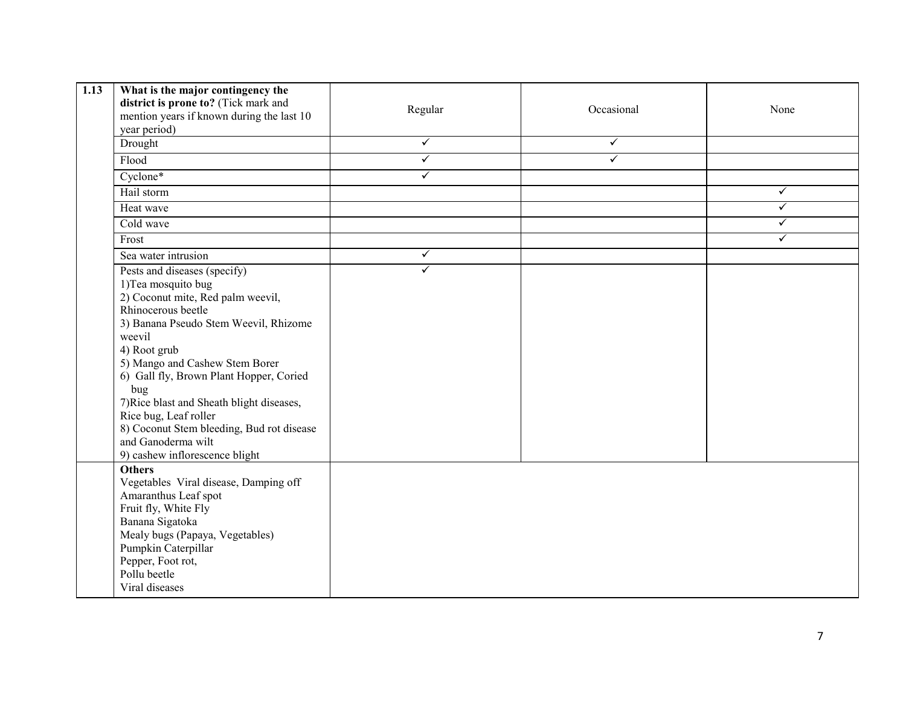| 1.13 | What is the major contingency the<br>district is prone to? (Tick mark and<br>mention years if known during the last 10<br>year period)                                                                                                                                                                                                                                                                                                           | Regular      | Occasional | None         |
|------|--------------------------------------------------------------------------------------------------------------------------------------------------------------------------------------------------------------------------------------------------------------------------------------------------------------------------------------------------------------------------------------------------------------------------------------------------|--------------|------------|--------------|
|      | Drought                                                                                                                                                                                                                                                                                                                                                                                                                                          | $\checkmark$ | ✓          |              |
|      | Flood                                                                                                                                                                                                                                                                                                                                                                                                                                            | $\checkmark$ | ✓          |              |
|      | Cyclone*                                                                                                                                                                                                                                                                                                                                                                                                                                         | $\checkmark$ |            |              |
|      | Hail storm                                                                                                                                                                                                                                                                                                                                                                                                                                       |              |            | $\checkmark$ |
|      | Heat wave                                                                                                                                                                                                                                                                                                                                                                                                                                        |              |            | ✓            |
|      | Cold wave                                                                                                                                                                                                                                                                                                                                                                                                                                        |              |            | $\checkmark$ |
|      | Frost                                                                                                                                                                                                                                                                                                                                                                                                                                            |              |            | ✓            |
|      | Sea water intrusion                                                                                                                                                                                                                                                                                                                                                                                                                              | $\checkmark$ |            |              |
|      | Pests and diseases (specify)<br>1) Tea mosquito bug<br>2) Coconut mite, Red palm weevil,<br>Rhinocerous beetle<br>3) Banana Pseudo Stem Weevil, Rhizome<br>weevil<br>4) Root grub<br>5) Mango and Cashew Stem Borer<br>6) Gall fly, Brown Plant Hopper, Coried<br>bug<br>7) Rice blast and Sheath blight diseases,<br>Rice bug, Leaf roller<br>8) Coconut Stem bleeding, Bud rot disease<br>and Ganoderma wilt<br>9) cashew inflorescence blight | $\checkmark$ |            |              |
|      | <b>Others</b><br>Vegetables Viral disease, Damping off<br>Amaranthus Leaf spot<br>Fruit fly, White Fly<br>Banana Sigatoka<br>Mealy bugs (Papaya, Vegetables)<br>Pumpkin Caterpillar<br>Pepper, Foot rot,<br>Pollu beetle<br>Viral diseases                                                                                                                                                                                                       |              |            |              |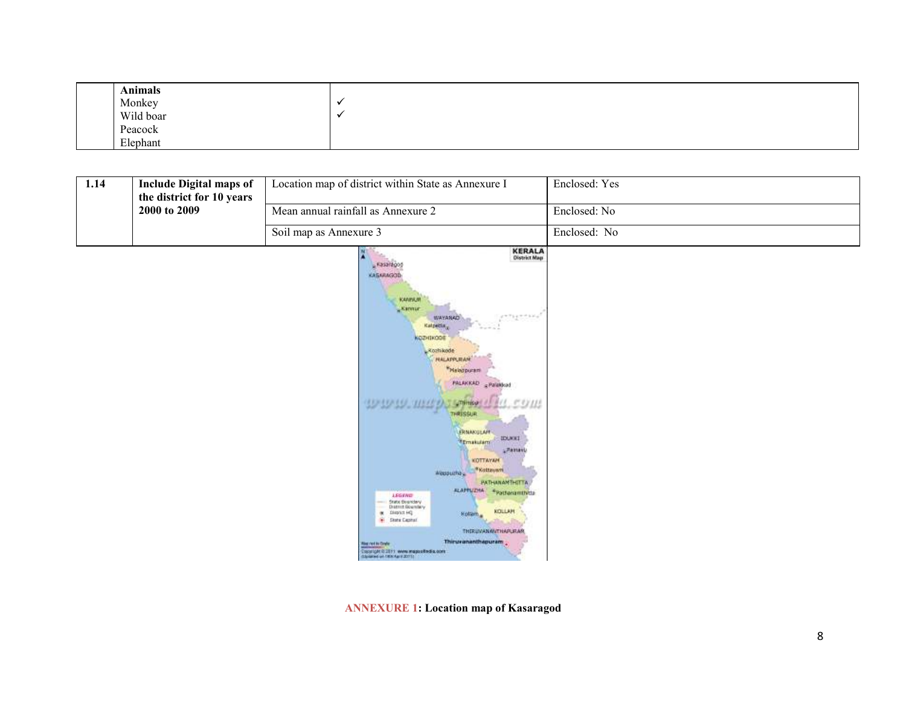| Animals   |  |
|-----------|--|
| Monkey    |  |
| Wild boar |  |
| Peacock   |  |
| Elephant  |  |

| 1.14 | Include Digital maps of<br>the district for 10 years | Location map of district within State as Annexure I | Enclosed: Yes |
|------|------------------------------------------------------|-----------------------------------------------------|---------------|
|      | 2000 to 2009                                         | Mean annual rainfall as Annexure 2                  | Enclosed: No  |
|      |                                                      | Soil map as Annexure 3                              | Enclosed: No  |



ANNEXURE 1: Location map of Kasaragod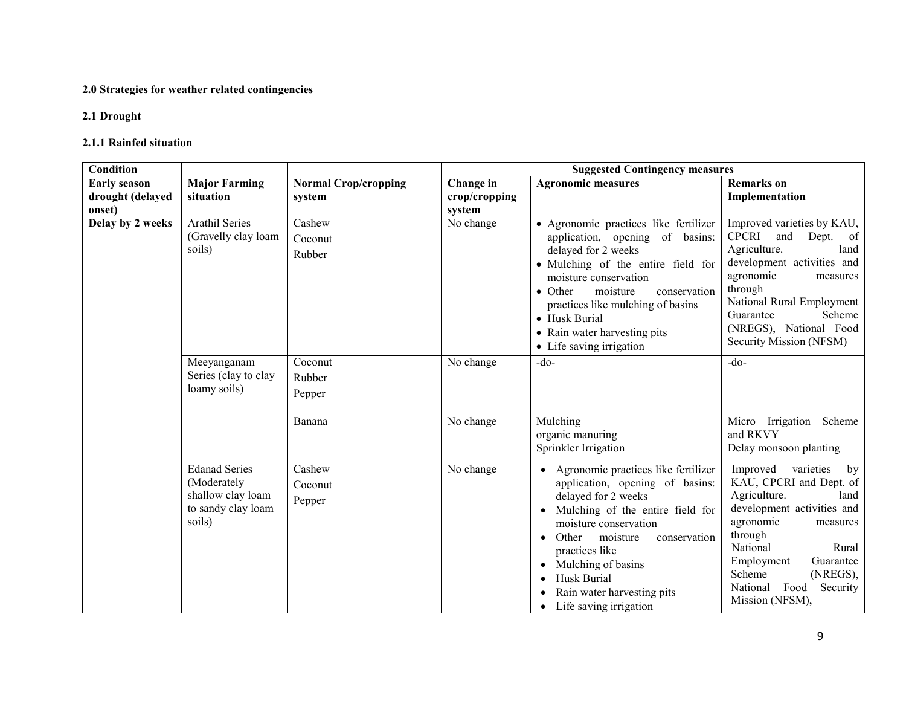#### 2.0 Strategies for weather related contingencies

## 2.1 Drought

### 2.1.1 Rainfed situation

| Condition           |                                                                                          |                             | <b>Suggested Contingency measures</b> |                                                                                                                                                                                                                                                                                                                                 |                                                                                                                                                                                                                                                                           |  |
|---------------------|------------------------------------------------------------------------------------------|-----------------------------|---------------------------------------|---------------------------------------------------------------------------------------------------------------------------------------------------------------------------------------------------------------------------------------------------------------------------------------------------------------------------------|---------------------------------------------------------------------------------------------------------------------------------------------------------------------------------------------------------------------------------------------------------------------------|--|
| <b>Early season</b> | <b>Major Farming</b>                                                                     | <b>Normal Crop/cropping</b> | Change in                             | <b>Agronomic measures</b>                                                                                                                                                                                                                                                                                                       | <b>Remarks</b> on                                                                                                                                                                                                                                                         |  |
| drought (delayed    | situation                                                                                | system                      | crop/cropping                         |                                                                                                                                                                                                                                                                                                                                 | Implementation                                                                                                                                                                                                                                                            |  |
| onset)              |                                                                                          |                             | system                                |                                                                                                                                                                                                                                                                                                                                 |                                                                                                                                                                                                                                                                           |  |
| Delay by 2 weeks    | <b>Arathil Series</b><br>(Gravelly clay loam<br>soils)                                   | Cashew<br>Coconut<br>Rubber | No change                             | • Agronomic practices like fertilizer<br>application, opening of basins:<br>delayed for 2 weeks<br>• Mulching of the entire field for<br>moisture conservation<br>$\bullet$ Other<br>moisture<br>conservation<br>practices like mulching of basins<br>• Husk Burial<br>• Rain water harvesting pits<br>• Life saving irrigation | Improved varieties by KAU,<br><b>CPCRI</b><br>and<br>Dept.<br>of<br>Agriculture.<br>land<br>development activities and<br>agronomic<br>measures<br>through<br>National Rural Employment<br>Guarantee<br>Scheme<br>(NREGS), National Food<br>Security Mission (NFSM)       |  |
|                     | Meeyanganam<br>Series (clay to clay<br>loamy soils)                                      | Coconut<br>Rubber<br>Pepper | No change                             | $-do-$                                                                                                                                                                                                                                                                                                                          | $-do-$                                                                                                                                                                                                                                                                    |  |
|                     |                                                                                          | Banana                      | No change                             | Mulching<br>organic manuring<br>Sprinkler Irrigation                                                                                                                                                                                                                                                                            | Micro Irrigation<br>Scheme<br>and RKVY<br>Delay monsoon planting                                                                                                                                                                                                          |  |
|                     | <b>Edanad Series</b><br>(Moderately<br>shallow clay loam<br>to sandy clay loam<br>soils) | Cashew<br>Coconut<br>Pepper | No change                             | • Agronomic practices like fertilizer<br>application, opening of basins:<br>delayed for 2 weeks<br>• Mulching of the entire field for<br>moisture conservation<br>• Other<br>moisture<br>conservation<br>practices like<br>• Mulching of basins<br>• Husk Burial<br>Rain water harvesting pits<br>• Life saving irrigation      | Improved<br>varieties<br>by<br>KAU, CPCRI and Dept. of<br>Agriculture.<br>land<br>development activities and<br>agronomic<br>measures<br>through<br>National<br>Rural<br>Employment<br>Guarantee<br>Scheme<br>(NREGS),<br>Food<br>Security<br>National<br>Mission (NFSM), |  |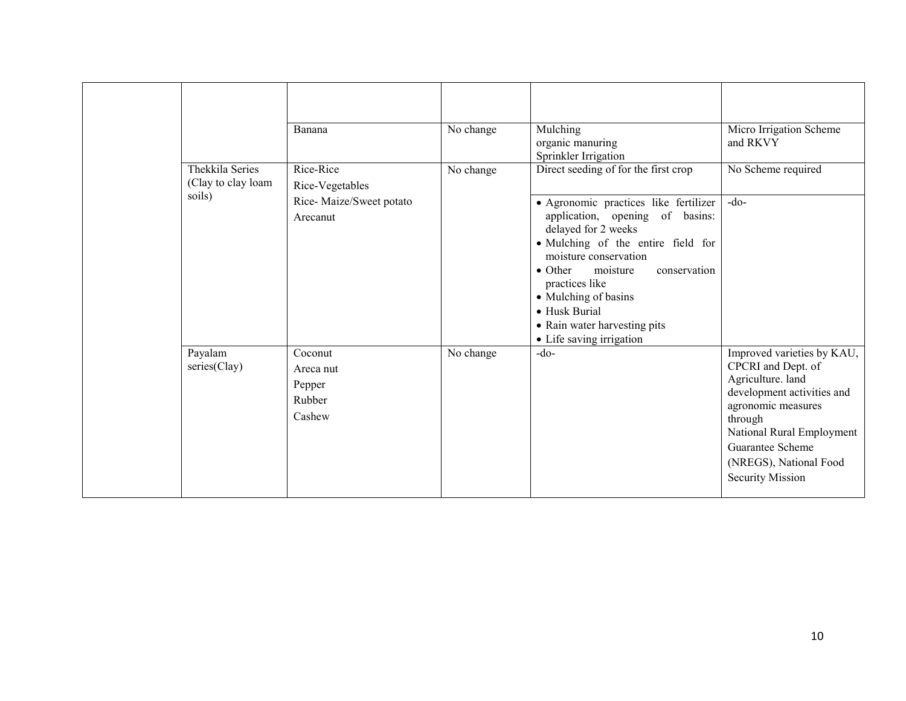|  |                                        | Banana                                             | No change | Mulching<br>organic manuring<br>Sprinkler Irrigation                                                                                                                                                                                                                                                                                 | Micro Irrigation Scheme<br>and RKVY                                                                                                                                                                                                        |
|--|----------------------------------------|----------------------------------------------------|-----------|--------------------------------------------------------------------------------------------------------------------------------------------------------------------------------------------------------------------------------------------------------------------------------------------------------------------------------------|--------------------------------------------------------------------------------------------------------------------------------------------------------------------------------------------------------------------------------------------|
|  | Thekkila Series<br>(Clay to clay loam) | Rice-Rice<br>Rice-Vegetables                       | No change | Direct seeding of for the first crop                                                                                                                                                                                                                                                                                                 | No Scheme required                                                                                                                                                                                                                         |
|  | soils)                                 | Rice-Maize/Sweet potato<br>Arecanut                |           | · Agronomic practices like fertilizer<br>application, opening of basins:<br>delayed for 2 weeks<br>· Mulching of the entire field for<br>moisture conservation<br>$\bullet$ Other<br>moisture<br>conservation<br>practices like<br>• Mulching of basins<br>• Husk Burial<br>• Rain water harvesting pits<br>• Life saving irrigation | $-do-$                                                                                                                                                                                                                                     |
|  | Payalam<br>series(Clay)                | Coconut<br>Areca nut<br>Pepper<br>Rubber<br>Cashew | No change | $-do$                                                                                                                                                                                                                                                                                                                                | Improved varieties by KAU,<br>CPCRI and Dept. of<br>Agriculture. land<br>development activities and<br>agronomic measures<br>through<br>National Rural Employment<br>Guarantee Scheme<br>(NREGS), National Food<br><b>Security Mission</b> |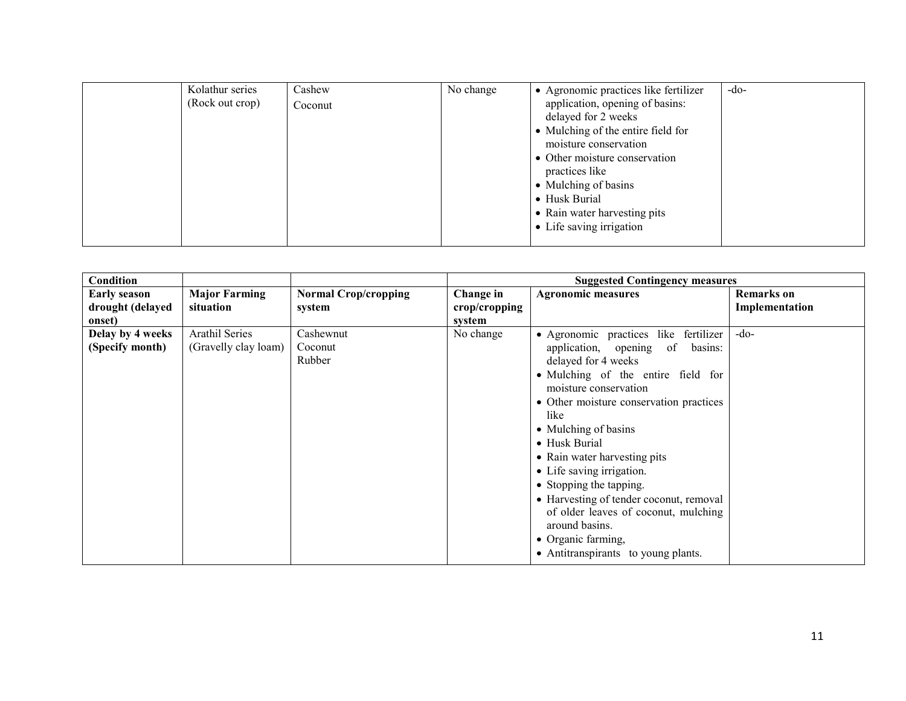| Kolathur series | Cashew  | No change | • Agronomic practices like fertilizer | $-do-$ |
|-----------------|---------|-----------|---------------------------------------|--------|
| (Rock out crop) | Coconut |           | application, opening of basins:       |        |
|                 |         |           | delayed for 2 weeks                   |        |
|                 |         |           | • Mulching of the entire field for    |        |
|                 |         |           | moisture conservation                 |        |
|                 |         |           | • Other moisture conservation         |        |
|                 |         |           | practices like                        |        |
|                 |         |           | • Mulching of basins                  |        |
|                 |         |           | • Husk Burial                         |        |
|                 |         |           | • Rain water harvesting pits          |        |
|                 |         |           | • Life saving irrigation              |        |
|                 |         |           |                                       |        |

| Condition                                         |                                        |                                       | <b>Suggested Contingency measures</b> |                                                                                                                                                                                                                                                                                                                                                                                                                                                                                                                         |                                     |  |
|---------------------------------------------------|----------------------------------------|---------------------------------------|---------------------------------------|-------------------------------------------------------------------------------------------------------------------------------------------------------------------------------------------------------------------------------------------------------------------------------------------------------------------------------------------------------------------------------------------------------------------------------------------------------------------------------------------------------------------------|-------------------------------------|--|
| <b>Early season</b><br>drought (delayed<br>onset) | <b>Major Farming</b><br>situation      | <b>Normal Crop/cropping</b><br>system | Change in<br>crop/cropping<br>system  | <b>Agronomic measures</b>                                                                                                                                                                                                                                                                                                                                                                                                                                                                                               | <b>Remarks</b> on<br>Implementation |  |
| Delay by 4 weeks<br>(Specify month)               | Arathil Series<br>(Gravelly clay loam) | Cashewnut<br>Coconut<br>Rubber        | No change                             | • Agronomic practices like fertilizer<br>application, opening of<br>basins:<br>delayed for 4 weeks<br>• Mulching of the entire field for<br>moisture conservation<br>• Other moisture conservation practices<br>like<br>• Mulching of basins<br>• Husk Burial<br>• Rain water harvesting pits<br>• Life saving irrigation.<br>• Stopping the tapping.<br>• Harvesting of tender coconut, removal<br>of older leaves of coconut, mulching<br>around basins.<br>• Organic farming,<br>• Antitranspirants to young plants. | $-do-$                              |  |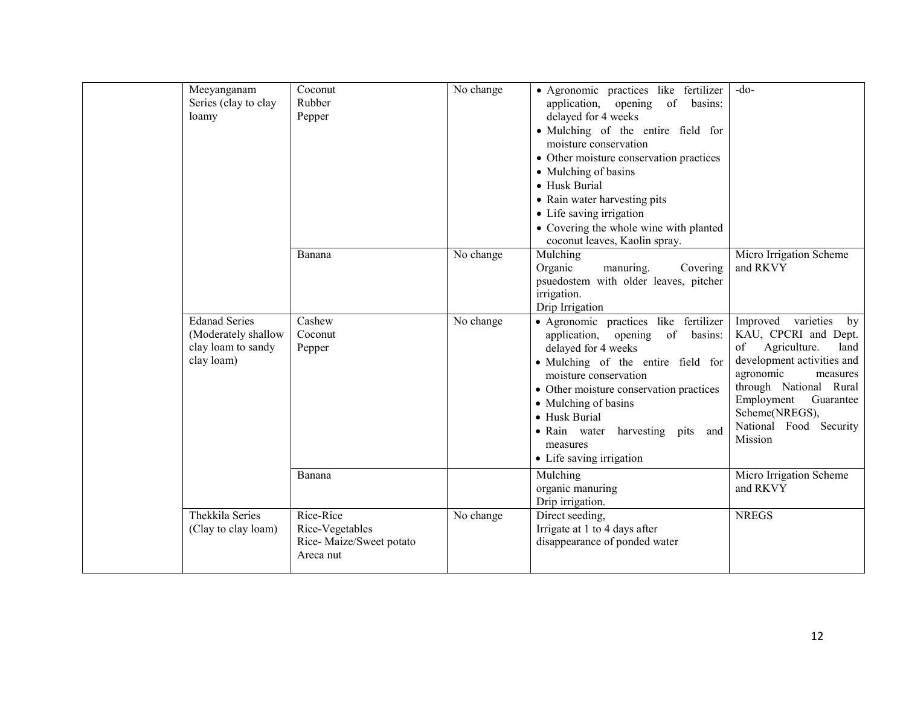| Meeyanganam<br>Series (clay to clay<br>loamy                                    | Coconut<br>Rubber<br>Pepper                                          | No change | • Agronomic practices like fertilizer<br>application, opening of<br>basins:<br>delayed for 4 weeks<br>· Mulching of the entire field for<br>moisture conservation<br>• Other moisture conservation practices<br>• Mulching of basins<br>• Husk Burial<br>• Rain water harvesting pits<br>• Life saving irrigation<br>• Covering the whole wine with planted<br>coconut leaves, Kaolin spray. | $-do-$                                                                                                                                                                                                                                               |
|---------------------------------------------------------------------------------|----------------------------------------------------------------------|-----------|----------------------------------------------------------------------------------------------------------------------------------------------------------------------------------------------------------------------------------------------------------------------------------------------------------------------------------------------------------------------------------------------|------------------------------------------------------------------------------------------------------------------------------------------------------------------------------------------------------------------------------------------------------|
|                                                                                 | Banana                                                               | No change | Mulching<br>Organic<br>Covering<br>manuring.<br>psuedostem with older leaves, pitcher<br>irrigation.<br>Drip Irrigation                                                                                                                                                                                                                                                                      | Micro Irrigation Scheme<br>and RKVY                                                                                                                                                                                                                  |
| <b>Edanad Series</b><br>(Moderately shallow<br>clay loam to sandy<br>clay loam) | Cashew<br>Coconut<br>Pepper                                          | No change | · Agronomic practices like fertilizer<br>application, opening of basins:<br>delayed for 4 weeks<br>• Mulching of the entire field for<br>moisture conservation<br>• Other moisture conservation practices<br>• Mulching of basins<br>• Husk Burial<br>• Rain water harvesting pits and<br>measures<br>• Life saving irrigation                                                               | Improved<br>varieties<br>by<br>KAU, CPCRI and Dept.<br>of<br>Agriculture.<br>land<br>development activities and<br>agronomic<br>measures<br>through National Rural<br>Employment<br>Guarantee<br>Scheme(NREGS),<br>National Food Security<br>Mission |
|                                                                                 | Banana                                                               |           | Mulching<br>organic manuring<br>Drip irrigation.                                                                                                                                                                                                                                                                                                                                             | Micro Irrigation Scheme<br>and RKVY                                                                                                                                                                                                                  |
| Thekkila Series<br>(Clay to clay loam)                                          | Rice-Rice<br>Rice-Vegetables<br>Rice-Maize/Sweet potato<br>Areca nut | No change | Direct seeding,<br>Irrigate at 1 to 4 days after<br>disappearance of ponded water                                                                                                                                                                                                                                                                                                            | <b>NREGS</b>                                                                                                                                                                                                                                         |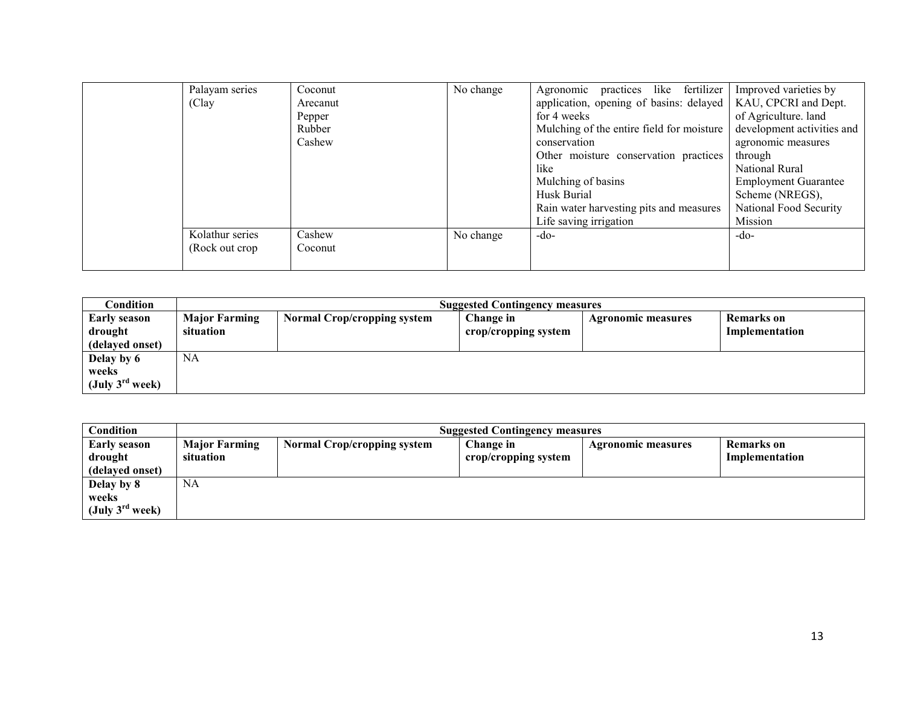| Palayam series  | Coconut  | No change | practices like fertilizer<br>Agronomic                         | Improved varieties by       |
|-----------------|----------|-----------|----------------------------------------------------------------|-----------------------------|
| (Clay           | Arecanut |           | application, opening of basins: delayed   KAU, CPCRI and Dept. |                             |
|                 | Pepper   |           | for 4 weeks                                                    | of Agriculture. land        |
|                 | Rubber   |           | Mulching of the entire field for moisture                      | development activities and  |
|                 | Cashew   |           | conservation                                                   | agronomic measures          |
|                 |          |           | Other moisture conservation practices                          | through                     |
|                 |          |           | like                                                           | <b>National Rural</b>       |
|                 |          |           | Mulching of basins                                             | <b>Employment Guarantee</b> |
|                 |          |           | Husk Burial                                                    | Scheme (NREGS),             |
|                 |          |           | Rain water harvesting pits and measures                        | National Food Security      |
|                 |          |           | Life saving irrigation                                         | Mission                     |
| Kolathur series | Cashew   | No change | $-do-$                                                         | $-do-$                      |
| (Rock out crop  | Coconut  |           |                                                                |                             |
|                 |          |           |                                                                |                             |

| Condition                   | <b>Suggested Contingency measures</b> |                                    |                      |                    |                |  |  |
|-----------------------------|---------------------------------------|------------------------------------|----------------------|--------------------|----------------|--|--|
| <b>Early season</b>         | <b>Major Farming</b>                  | <b>Normal Crop/cropping system</b> | Change in            | Agronomic measures | Remarks on     |  |  |
| drought                     | situation                             |                                    | crop/cropping system |                    | Implementation |  |  |
| (delayed onset)             |                                       |                                    |                      |                    |                |  |  |
| Delay by 6                  | NA                                    |                                    |                      |                    |                |  |  |
| weeks                       |                                       |                                    |                      |                    |                |  |  |
| (July $3^{\text{rd}}$ week) |                                       |                                    |                      |                    |                |  |  |

| Condition                   | <b>Suggested Contingency measures</b> |                                    |                      |                    |                |  |  |
|-----------------------------|---------------------------------------|------------------------------------|----------------------|--------------------|----------------|--|--|
| Early season                | <b>Major Farming</b>                  | <b>Normal Crop/cropping system</b> | Change in            | Agronomic measures | Remarks on     |  |  |
| drought                     | situation                             |                                    | crop/cropping system |                    | Implementation |  |  |
| (delayed onset)             |                                       |                                    |                      |                    |                |  |  |
| Delay by 8                  | NA                                    |                                    |                      |                    |                |  |  |
| weeks                       |                                       |                                    |                      |                    |                |  |  |
| (July $3^{\text{rd}}$ week) |                                       |                                    |                      |                    |                |  |  |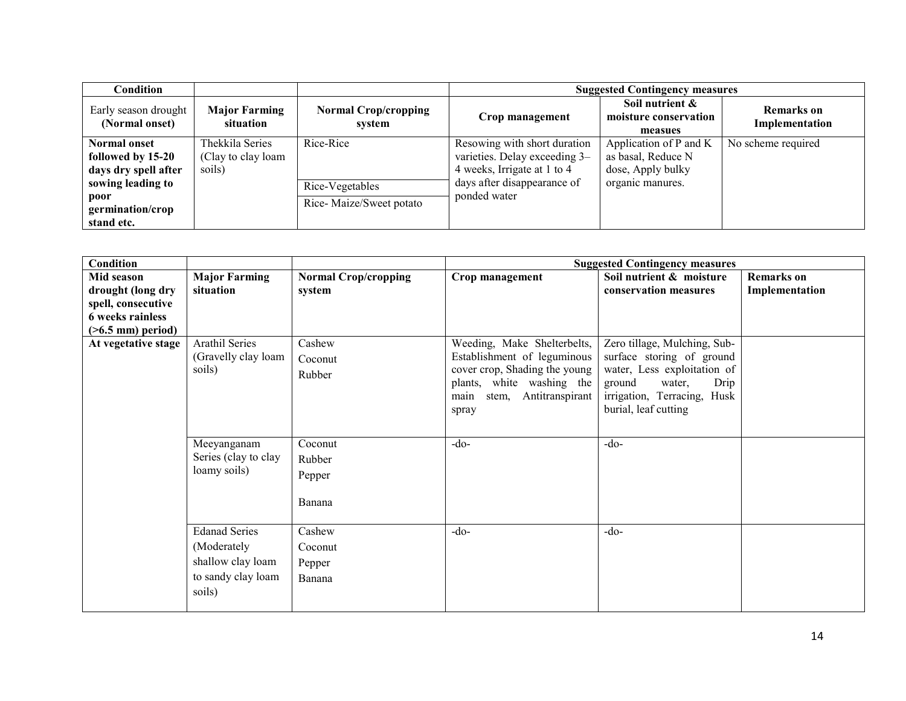| Condition                                                                                                                       |                                                  |                                                         | <b>Suggested Contingency measures</b>                                                                                                       |                                                                                       |                                     |  |
|---------------------------------------------------------------------------------------------------------------------------------|--------------------------------------------------|---------------------------------------------------------|---------------------------------------------------------------------------------------------------------------------------------------------|---------------------------------------------------------------------------------------|-------------------------------------|--|
| Early season drought<br>(Normal onset)                                                                                          | <b>Major Farming</b><br>situation                | <b>Normal Crop/cropping</b><br>system                   | Crop management                                                                                                                             | Soil nutrient &<br>moisture conservation<br>measues                                   | <b>Remarks</b> on<br>Implementation |  |
| <b>Normal onset</b><br>followed by 15-20<br>days dry spell after<br>sowing leading to<br>poor<br>germination/crop<br>stand etc. | Thekkila Series<br>(Clay to clay loam)<br>soils) | Rice-Rice<br>Rice-Vegetables<br>Rice-Maize/Sweet potato | Resowing with short duration<br>varieties. Delay exceeding 3-<br>4 weeks, Irrigate at 1 to 4<br>days after disappearance of<br>ponded water | Application of P and K<br>as basal, Reduce N<br>dose, Apply bulky<br>organic manures. | No scheme required                  |  |

| Condition            |                      |                             |                                                            | <b>Suggested Contingency measures</b>                   |                   |
|----------------------|----------------------|-----------------------------|------------------------------------------------------------|---------------------------------------------------------|-------------------|
| Mid season           | <b>Major Farming</b> | <b>Normal Crop/cropping</b> | Crop management                                            | Soil nutrient & moisture                                | <b>Remarks</b> on |
| drought (long dry    | situation            | system                      |                                                            | conservation measures                                   | Implementation    |
| spell, consecutive   |                      |                             |                                                            |                                                         |                   |
| 6 weeks rainless     |                      |                             |                                                            |                                                         |                   |
| $($ >6.5 mm) period) |                      |                             |                                                            |                                                         |                   |
| At vegetative stage  | Arathil Series       | Cashew                      | Weeding, Make Shelterbelts,                                | Zero tillage, Mulching, Sub-                            |                   |
|                      | (Gravelly clay loam  | Coconut                     | Establishment of leguminous                                | surface storing of ground                               |                   |
|                      | soils)               | Rubber                      | cover crop, Shading the young<br>plants, white washing the | water, Less exploitation of<br>ground<br>Drip<br>water, |                   |
|                      |                      |                             | stem, Antitranspirant<br>main                              | irrigation, Terracing, Husk                             |                   |
|                      |                      |                             | spray                                                      | burial, leaf cutting                                    |                   |
|                      |                      |                             |                                                            |                                                         |                   |
|                      |                      |                             |                                                            |                                                         |                   |
|                      | Meeyanganam          | Coconut                     | $-do-$                                                     | $-do-$                                                  |                   |
|                      | Series (clay to clay | Rubber                      |                                                            |                                                         |                   |
|                      | loamy soils)         | Pepper                      |                                                            |                                                         |                   |
|                      |                      |                             |                                                            |                                                         |                   |
|                      |                      | Banana                      |                                                            |                                                         |                   |
|                      |                      |                             |                                                            |                                                         |                   |
|                      | <b>Edanad Series</b> | Cashew                      | $-do-$                                                     | $-do-$                                                  |                   |
|                      | (Moderately          | Coconut                     |                                                            |                                                         |                   |
|                      | shallow clay loam    | Pepper                      |                                                            |                                                         |                   |
|                      | to sandy clay loam   | Banana                      |                                                            |                                                         |                   |
|                      | soils)               |                             |                                                            |                                                         |                   |
|                      |                      |                             |                                                            |                                                         |                   |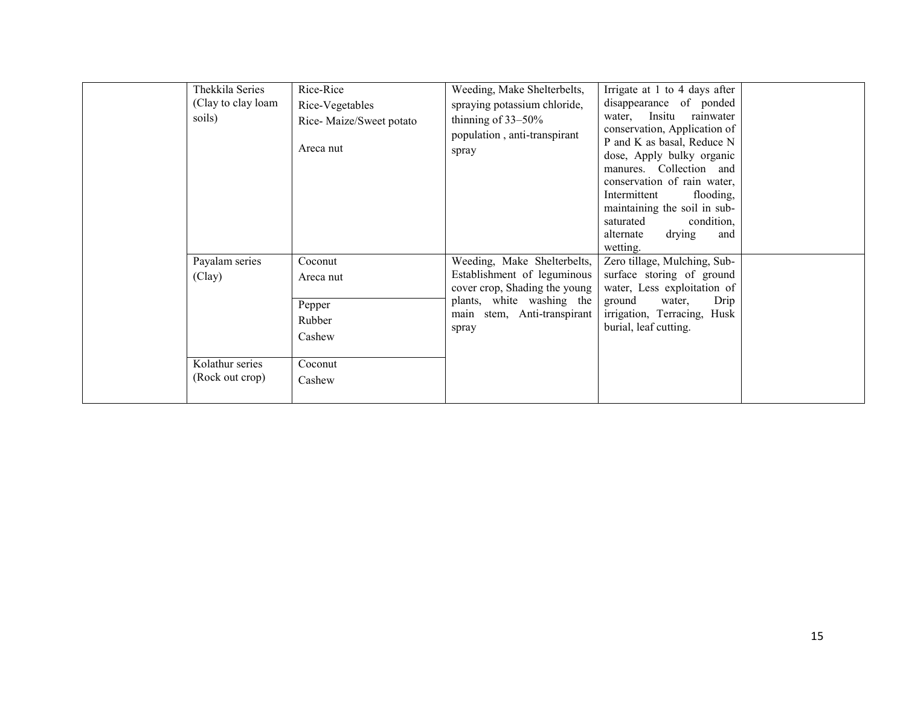| Thekkila Series<br>(Clay to clay loam<br>soils) | Rice-Rice<br>Rice-Vegetables<br>Rice-Maize/Sweet potato<br>Areca nut | Weeding, Make Shelterbelts,<br>spraying potassium chloride,<br>thinning of $33-50\%$<br>population, anti-transpirant<br>spray                                    | Irrigate at 1 to 4 days after<br>disappearance of ponded<br>water, Insitu rainwater<br>conservation, Application of<br>P and K as basal, Reduce N<br>dose, Apply bulky organic<br>manures. Collection and<br>conservation of rain water,<br>Intermittent<br>flooding,<br>maintaining the soil in sub-<br>saturated<br>condition,<br>drying<br>alternate<br>and<br>wetting. |  |
|-------------------------------------------------|----------------------------------------------------------------------|------------------------------------------------------------------------------------------------------------------------------------------------------------------|----------------------------------------------------------------------------------------------------------------------------------------------------------------------------------------------------------------------------------------------------------------------------------------------------------------------------------------------------------------------------|--|
| Payalam series<br>(Clay)                        | Coconut<br>Areca nut<br>Pepper<br>Rubber<br>Cashew                   | Weeding, Make Shelterbelts,<br>Establishment of leguminous<br>cover crop, Shading the young<br>plants, white washing the<br>main stem, Anti-transpirant<br>spray | Zero tillage, Mulching, Sub-<br>surface storing of ground<br>water, Less exploitation of<br>Drip<br>ground<br>water,<br>irrigation, Terracing, Husk<br>burial, leaf cutting.                                                                                                                                                                                               |  |
| Kolathur series<br>(Rock out crop)              | Coconut<br>Cashew                                                    |                                                                                                                                                                  |                                                                                                                                                                                                                                                                                                                                                                            |  |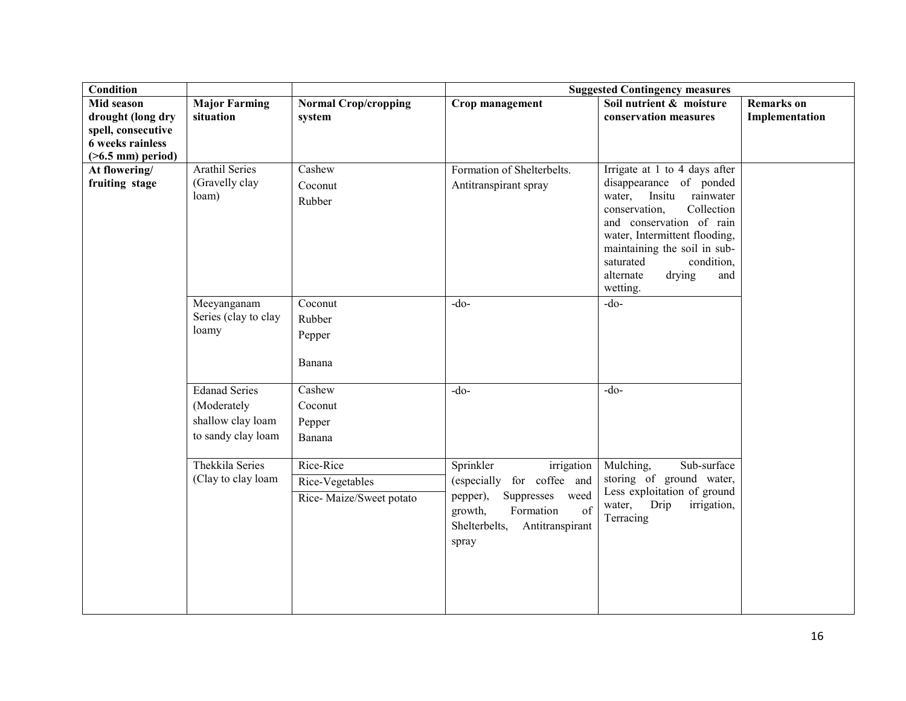| Condition                                                                                                |                                                                      |                                                         | <b>Suggested Contingency measures</b>                                                                                                                                 |                                                                                                                                                                                                                                                                                            |                                     |  |
|----------------------------------------------------------------------------------------------------------|----------------------------------------------------------------------|---------------------------------------------------------|-----------------------------------------------------------------------------------------------------------------------------------------------------------------------|--------------------------------------------------------------------------------------------------------------------------------------------------------------------------------------------------------------------------------------------------------------------------------------------|-------------------------------------|--|
| Mid season<br>drought (long dry<br>spell, consecutive<br><b>6</b> weeks rainless<br>$($ >6.5 mm) period) | <b>Major Farming</b><br>situation                                    | <b>Normal Crop/cropping</b><br>system                   | Crop management                                                                                                                                                       | Soil nutrient & moisture<br>conservation measures                                                                                                                                                                                                                                          | <b>Remarks</b> on<br>Implementation |  |
| At flowering/<br>fruiting stage                                                                          | <b>Arathil Series</b><br>(Gravelly clay<br>loam)                     | Cashew<br>Coconut<br>Rubber                             | Formation of Shelterbelts.<br>Antitranspirant spray                                                                                                                   | Irrigate at 1 to 4 days after<br>disappearance of ponded<br>water,<br>Insitu<br>rainwater<br>conservation,<br>Collection<br>and conservation of rain<br>water, Intermittent flooding,<br>maintaining the soil in sub-<br>saturated<br>condition,<br>alternate<br>drying<br>and<br>wetting. |                                     |  |
|                                                                                                          | Meeyanganam<br>Series (clay to clay<br>loamy<br><b>Edanad Series</b> | Coconut<br>Rubber<br>Pepper<br>Banana<br>Cashew         | $-do-$<br>$-do$                                                                                                                                                       | $-do-$<br>$-do$                                                                                                                                                                                                                                                                            |                                     |  |
|                                                                                                          | (Moderately<br>shallow clay loam<br>to sandy clay loam               | Coconut<br>Pepper<br>Banana                             |                                                                                                                                                                       |                                                                                                                                                                                                                                                                                            |                                     |  |
|                                                                                                          | Thekkila Series<br>(Clay to clay loam                                | Rice-Rice<br>Rice-Vegetables<br>Rice-Maize/Sweet potato | Sprinkler<br>irrigation<br>for coffee and<br>(especially<br>Suppresses<br>weed<br>pepper),<br>of<br>growth,<br>Formation<br>Shelterbelts,<br>Antitranspirant<br>spray | $\overline{\text{M}}$ ulching,<br>Sub-surface<br>storing of ground water,<br>Less exploitation of ground<br>Drip<br>irrigation,<br>water,<br>Terracing                                                                                                                                     |                                     |  |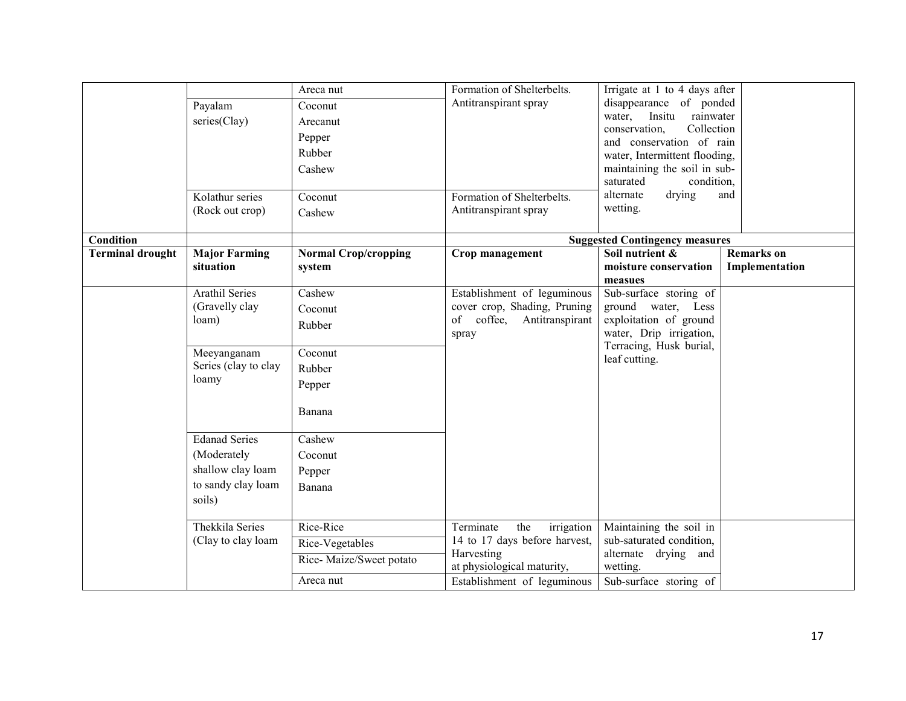|                         | Payalam<br>series(Clay)<br>Kolathur series                                               | Areca nut<br>Coconut<br>Arecanut<br>Pepper<br>Rubber<br>Cashew<br>Coconut | Formation of Shelterbelts.<br>Antitranspirant spray<br>Formation of Shelterbelts.                                                          | Irrigate at 1 to 4 days after<br>disappearance of ponded<br>Insitu<br>rainwater<br>water,<br>conservation,<br>Collection<br>and conservation of rain<br>water, Intermittent flooding,<br>maintaining the soil in sub-<br>saturated<br>condition,<br>alternate<br>drying | and                                 |
|-------------------------|------------------------------------------------------------------------------------------|---------------------------------------------------------------------------|--------------------------------------------------------------------------------------------------------------------------------------------|-------------------------------------------------------------------------------------------------------------------------------------------------------------------------------------------------------------------------------------------------------------------------|-------------------------------------|
|                         | (Rock out crop)                                                                          | Cashew                                                                    | Antitranspirant spray                                                                                                                      | wetting.                                                                                                                                                                                                                                                                |                                     |
| Condition               |                                                                                          |                                                                           |                                                                                                                                            | <b>Suggested Contingency measures</b>                                                                                                                                                                                                                                   |                                     |
| <b>Terminal drought</b> | <b>Major Farming</b><br>situation                                                        | <b>Normal Crop/cropping</b><br>system                                     | Crop management                                                                                                                            | Soil nutrient &<br>moisture conservation<br>measues                                                                                                                                                                                                                     | <b>Remarks</b> on<br>Implementation |
|                         | <b>Arathil Series</b><br>(Gravelly clay<br>loam)                                         | Cashew<br>Coconut<br>Rubber                                               | Establishment of leguminous<br>cover crop, Shading, Pruning<br>of coffee,<br>Antitranspirant<br>spray                                      | Sub-surface storing of<br>ground<br>water, Less<br>exploitation of ground<br>water, Drip irrigation,<br>Terracing, Husk burial,<br>leaf cutting.                                                                                                                        |                                     |
|                         | Meeyanganam<br>Series (clay to clay<br>loamy                                             | Coconut<br>Rubber<br>Pepper<br>Banana                                     |                                                                                                                                            |                                                                                                                                                                                                                                                                         |                                     |
|                         | <b>Edanad Series</b><br>(Moderately<br>shallow clay loam<br>to sandy clay loam<br>soils) | Cashew<br>Coconut<br>Pepper<br>Banana                                     |                                                                                                                                            |                                                                                                                                                                                                                                                                         |                                     |
|                         | Thekkila Series<br>(Clay to clay loam                                                    | Rice-Rice<br>Rice-Vegetables<br>Rice-Maize/Sweet potato<br>Areca nut      | the<br>irrigation<br>Terminate<br>14 to 17 days before harvest,<br>Harvesting<br>at physiological maturity,<br>Establishment of leguminous | Maintaining the soil in<br>sub-saturated condition.<br>alternate drying and<br>wetting.<br>Sub-surface storing of                                                                                                                                                       |                                     |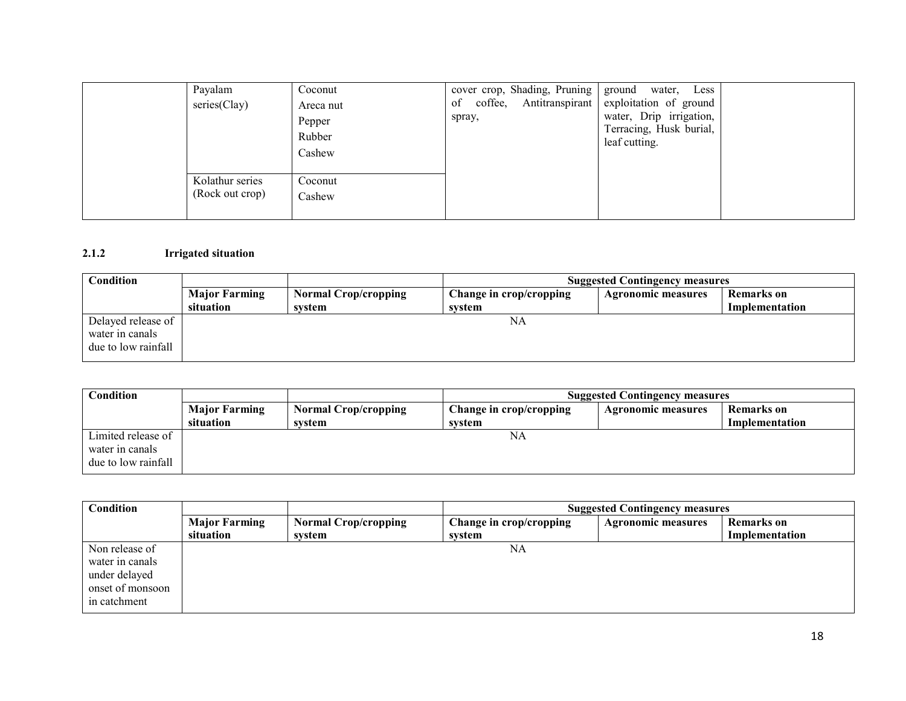| Payalam<br>series(Clay)            | Coconut<br>Areca nut<br>Pepper<br>Rubber<br>Cashew | cover crop, Shading, Pruning ground<br>coffee, Antitranspirant exploitation of ground<br>of<br>spray, | Less<br>water,<br>water, Drip irrigation,<br>Terracing, Husk burial,<br>leaf cutting. |  |
|------------------------------------|----------------------------------------------------|-------------------------------------------------------------------------------------------------------|---------------------------------------------------------------------------------------|--|
| Kolathur series<br>(Rock out crop) | Coconut<br>Cashew                                  |                                                                                                       |                                                                                       |  |

# 2.1.2 Irrigated situation

| Condition           |                      |                             | <b>Suggested Contingency measures</b> |                    |                   |  |
|---------------------|----------------------|-----------------------------|---------------------------------------|--------------------|-------------------|--|
|                     | <b>Major Farming</b> | <b>Normal Crop/cropping</b> | Change in crop/cropping               | Agronomic measures | <b>Remarks</b> on |  |
|                     | situation            | svstem                      | system                                |                    | Implementation    |  |
| Delayed release of  |                      |                             | NA                                    |                    |                   |  |
| water in canals     |                      |                             |                                       |                    |                   |  |
| due to low rainfall |                      |                             |                                       |                    |                   |  |
|                     |                      |                             |                                       |                    |                   |  |

| Condition           |                      |                             | <b>Suggested Contingency measures</b> |                           |                   |  |
|---------------------|----------------------|-----------------------------|---------------------------------------|---------------------------|-------------------|--|
|                     | <b>Major Farming</b> | <b>Normal Crop/cropping</b> | Change in crop/cropping               | <b>Agronomic measures</b> | <b>Remarks</b> on |  |
|                     | situation            | svstem                      | system                                |                           | Implementation    |  |
| Limited release of  |                      |                             | NA                                    |                           |                   |  |
| water in canals     |                      |                             |                                       |                           |                   |  |
| due to low rainfall |                      |                             |                                       |                           |                   |  |

| Condition        |                      |                             | <b>Suggested Contingency measures</b> |                           |                   |  |
|------------------|----------------------|-----------------------------|---------------------------------------|---------------------------|-------------------|--|
|                  | <b>Major Farming</b> | <b>Normal Crop/cropping</b> | Change in crop/cropping               | <b>Agronomic measures</b> | <b>Remarks</b> on |  |
|                  | situation            | svstem                      | system                                |                           | Implementation    |  |
| Non release of   |                      |                             | NA                                    |                           |                   |  |
| water in canals  |                      |                             |                                       |                           |                   |  |
| under delayed    |                      |                             |                                       |                           |                   |  |
| onset of monsoon |                      |                             |                                       |                           |                   |  |
| in catchment     |                      |                             |                                       |                           |                   |  |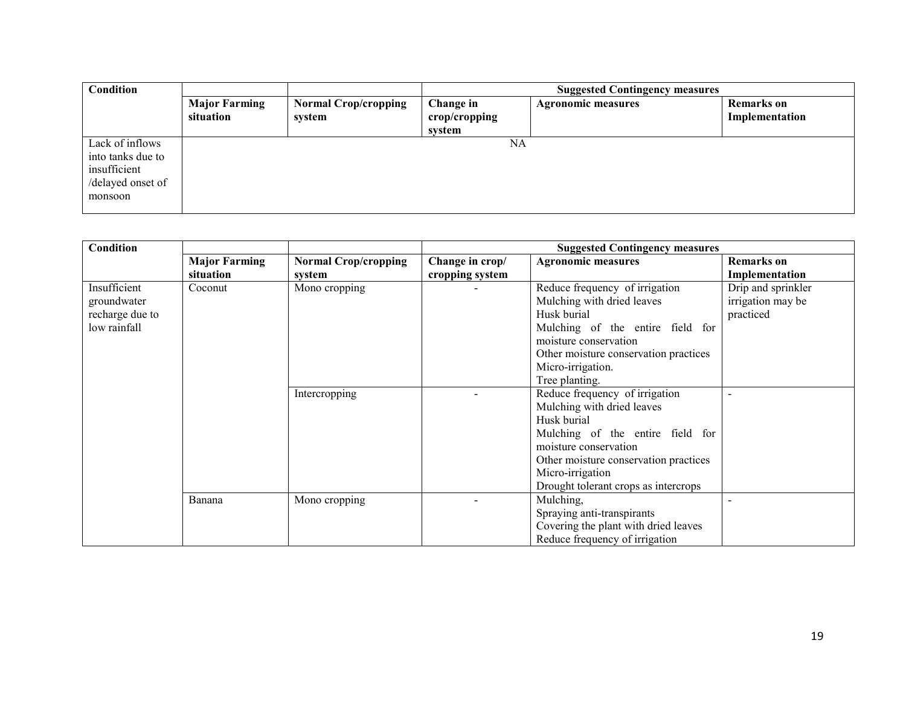| Condition                                                                            |                                   |                                       | <b>Suggested Contingency measures</b>            |                           |                                     |  |
|--------------------------------------------------------------------------------------|-----------------------------------|---------------------------------------|--------------------------------------------------|---------------------------|-------------------------------------|--|
|                                                                                      | <b>Major Farming</b><br>situation | <b>Normal Crop/cropping</b><br>system | Change in<br>$\mathbf{crop/c}$ ropping<br>system | <b>Agronomic measures</b> | <b>Remarks</b> on<br>Implementation |  |
| Lack of inflows<br>into tanks due to<br>insufficient<br>/delayed onset of<br>monsoon |                                   |                                       | NA                                               |                           |                                     |  |

| Condition                                                      |                      |                             |                 | <b>Suggested Contingency measures</b>                                                                                                                                                                                                                           |                                                      |
|----------------------------------------------------------------|----------------------|-----------------------------|-----------------|-----------------------------------------------------------------------------------------------------------------------------------------------------------------------------------------------------------------------------------------------------------------|------------------------------------------------------|
|                                                                | <b>Major Farming</b> | <b>Normal Crop/cropping</b> | Change in crop/ | <b>Agronomic measures</b>                                                                                                                                                                                                                                       | <b>Remarks</b> on                                    |
|                                                                | situation            | system                      | cropping system |                                                                                                                                                                                                                                                                 | Implementation                                       |
| Insufficient<br>groundwater<br>recharge due to<br>low rainfall | Coconut              | Mono cropping               |                 | Reduce frequency of irrigation<br>Mulching with dried leaves<br>Husk burial<br>Mulching of the entire field for<br>moisture conservation<br>Other moisture conservation practices<br>Micro-irrigation.                                                          | Drip and sprinkler<br>irrigation may be<br>practiced |
|                                                                |                      | Intercropping               |                 | Tree planting.<br>Reduce frequency of irrigation<br>Mulching with dried leaves<br>Husk burial<br>Mulching of the entire field for<br>moisture conservation<br>Other moisture conservation practices<br>Micro-irrigation<br>Drought tolerant crops as intercrops |                                                      |
|                                                                | Banana               | Mono cropping               |                 | Mulching,<br>Spraying anti-transpirants<br>Covering the plant with dried leaves<br>Reduce frequency of irrigation                                                                                                                                               |                                                      |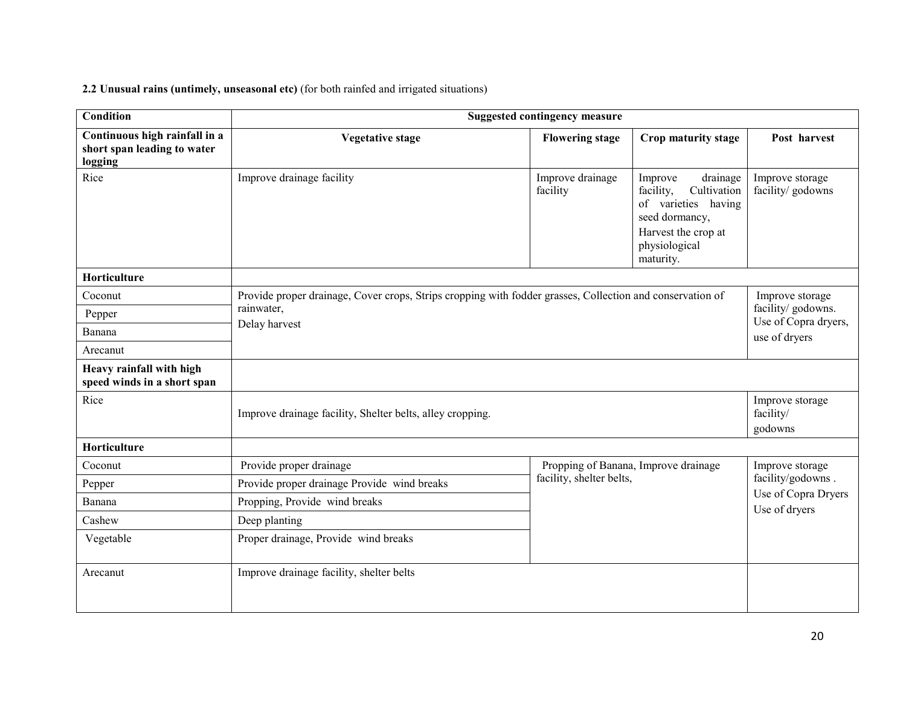## 2.2 Unusual rains (untimely, unseasonal etc) (for both rainfed and irrigated situations)

| Condition                                                               |                                                                                                           | <b>Suggested contingency measure</b>    |                                                                                                                                               |                                          |  |
|-------------------------------------------------------------------------|-----------------------------------------------------------------------------------------------------------|-----------------------------------------|-----------------------------------------------------------------------------------------------------------------------------------------------|------------------------------------------|--|
| Continuous high rainfall in a<br>short span leading to water<br>logging | <b>Vegetative stage</b>                                                                                   | <b>Flowering stage</b>                  | Crop maturity stage                                                                                                                           | Post harvest                             |  |
| Rice                                                                    | Improve drainage facility                                                                                 | Improve drainage<br>facility            | drainage<br>Improve<br>facility,<br>Cultivation<br>of varieties having<br>seed dormancy,<br>Harvest the crop at<br>physiological<br>maturity. | Improve storage<br>facility/godowns      |  |
| Horticulture                                                            |                                                                                                           |                                         |                                                                                                                                               |                                          |  |
| Coconut                                                                 | Provide proper drainage, Cover crops, Strips cropping with fodder grasses, Collection and conservation of |                                         |                                                                                                                                               | Improve storage                          |  |
| Pepper                                                                  | rainwater,<br>Delay harvest                                                                               |                                         | facility/ godowns.<br>Use of Copra dryers,                                                                                                    |                                          |  |
| Banana                                                                  |                                                                                                           | use of dryers                           |                                                                                                                                               |                                          |  |
| Arecanut                                                                |                                                                                                           |                                         |                                                                                                                                               |                                          |  |
| Heavy rainfall with high<br>speed winds in a short span                 |                                                                                                           |                                         |                                                                                                                                               |                                          |  |
| Rice                                                                    | Improve drainage facility, Shelter belts, alley cropping.                                                 | Improve storage<br>facility/<br>godowns |                                                                                                                                               |                                          |  |
| Horticulture                                                            |                                                                                                           |                                         |                                                                                                                                               |                                          |  |
| Coconut                                                                 | Provide proper drainage                                                                                   |                                         | Propping of Banana, Improve drainage                                                                                                          | Improve storage                          |  |
| Pepper                                                                  | Provide proper drainage Provide wind breaks                                                               | facility, shelter belts,                |                                                                                                                                               | facility/godowns.<br>Use of Copra Dryers |  |
| Banana                                                                  | Propping, Provide wind breaks                                                                             |                                         |                                                                                                                                               | Use of dryers                            |  |
| Cashew                                                                  | Deep planting                                                                                             |                                         |                                                                                                                                               |                                          |  |
| Vegetable                                                               | Proper drainage, Provide wind breaks                                                                      |                                         |                                                                                                                                               |                                          |  |
| Arecanut                                                                | Improve drainage facility, shelter belts                                                                  |                                         |                                                                                                                                               |                                          |  |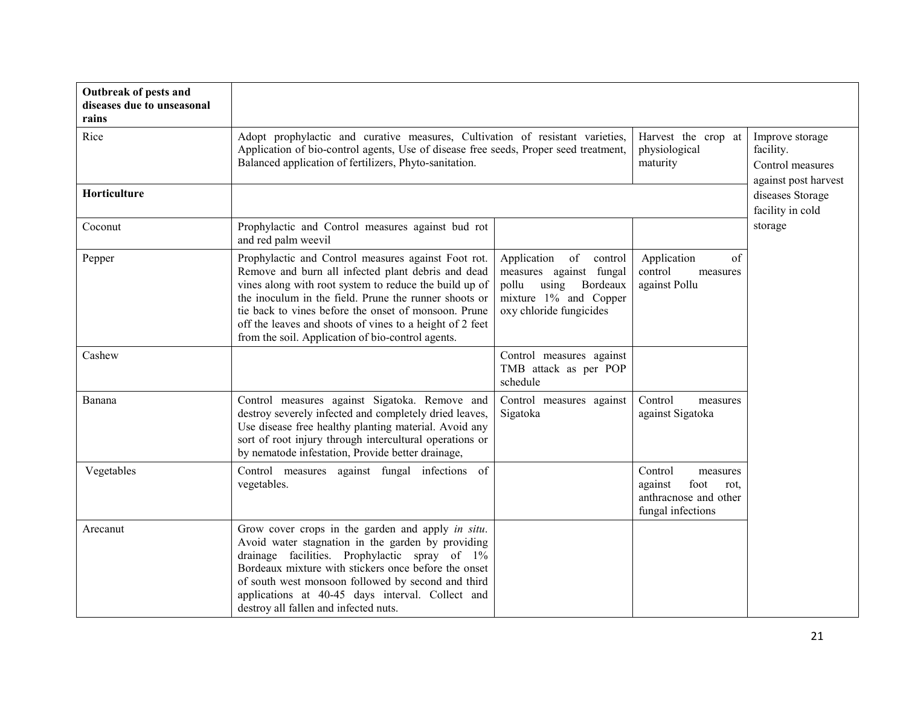| Outbreak of pests and<br>diseases due to unseasonal<br>rains |                                                                                                                                                                                                                                                                                                                                                                                                       |                                                                                                                                  |                                                                                              |                                      |
|--------------------------------------------------------------|-------------------------------------------------------------------------------------------------------------------------------------------------------------------------------------------------------------------------------------------------------------------------------------------------------------------------------------------------------------------------------------------------------|----------------------------------------------------------------------------------------------------------------------------------|----------------------------------------------------------------------------------------------|--------------------------------------|
| Rice                                                         | Adopt prophylactic and curative measures, Cultivation of resistant varieties,<br>Application of bio-control agents, Use of disease free seeds, Proper seed treatment,<br>Balanced application of fertilizers, Phyto-sanitation.                                                                                                                                                                       | Harvest the crop at<br>physiological<br>maturity                                                                                 | Improve storage<br>facility.<br>Control measures<br>against post harvest                     |                                      |
| Horticulture                                                 |                                                                                                                                                                                                                                                                                                                                                                                                       |                                                                                                                                  |                                                                                              | diseases Storage<br>facility in cold |
| Coconut                                                      | Prophylactic and Control measures against bud rot<br>and red palm weevil                                                                                                                                                                                                                                                                                                                              |                                                                                                                                  |                                                                                              | storage                              |
| Pepper                                                       | Prophylactic and Control measures against Foot rot.<br>Remove and burn all infected plant debris and dead<br>vines along with root system to reduce the build up of<br>the inoculum in the field. Prune the runner shoots or<br>tie back to vines before the onset of monsoon. Prune<br>off the leaves and shoots of vines to a height of 2 feet<br>from the soil. Application of bio-control agents. | Application of control<br>measures against fungal<br>pollu<br>using Bordeaux<br>mixture 1% and Copper<br>oxy chloride fungicides | Application<br>of<br>control<br>measures<br>against Pollu                                    |                                      |
| Cashew                                                       |                                                                                                                                                                                                                                                                                                                                                                                                       | Control measures against<br>TMB attack as per POP<br>schedule                                                                    |                                                                                              |                                      |
| Banana                                                       | Control measures against Sigatoka. Remove and<br>destroy severely infected and completely dried leaves,<br>Use disease free healthy planting material. Avoid any<br>sort of root injury through intercultural operations or<br>by nematode infestation, Provide better drainage,                                                                                                                      | Control measures against<br>Sigatoka                                                                                             | Control<br>measures<br>against Sigatoka                                                      |                                      |
| Vegetables                                                   | Control measures against fungal infections of<br>vegetables.                                                                                                                                                                                                                                                                                                                                          |                                                                                                                                  | Control<br>measures<br>foot<br>against<br>rot.<br>anthracnose and other<br>fungal infections |                                      |
| Arecanut                                                     | Grow cover crops in the garden and apply in situ.<br>Avoid water stagnation in the garden by providing<br>drainage facilities. Prophylactic spray of 1%<br>Bordeaux mixture with stickers once before the onset<br>of south west monsoon followed by second and third<br>applications at 40-45 days interval. Collect and<br>destroy all fallen and infected nuts.                                    |                                                                                                                                  |                                                                                              |                                      |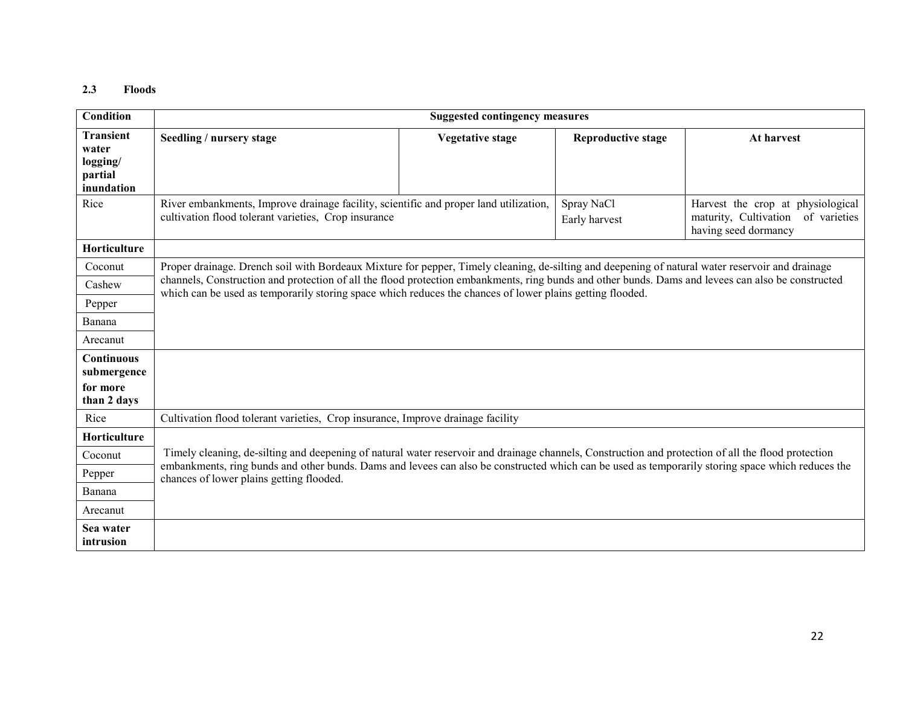### 2.3 Floods

| <b>Condition</b>          |                                                                                                                                                                                                                                                                 | <b>Suggested contingency measures</b> |                             |                                                                                                    |  |  |
|---------------------------|-----------------------------------------------------------------------------------------------------------------------------------------------------------------------------------------------------------------------------------------------------------------|---------------------------------------|-----------------------------|----------------------------------------------------------------------------------------------------|--|--|
| <b>Transient</b>          | Seedling / nursery stage                                                                                                                                                                                                                                        | <b>Vegetative stage</b>               | <b>Reproductive stage</b>   | At harvest                                                                                         |  |  |
| water<br>logging/         |                                                                                                                                                                                                                                                                 |                                       |                             |                                                                                                    |  |  |
| partial                   |                                                                                                                                                                                                                                                                 |                                       |                             |                                                                                                    |  |  |
| inundation                |                                                                                                                                                                                                                                                                 |                                       |                             |                                                                                                    |  |  |
| Rice                      | River embankments, Improve drainage facility, scientific and proper land utilization,<br>cultivation flood tolerant varieties, Crop insurance                                                                                                                   |                                       | Spray NaCl<br>Early harvest | Harvest the crop at physiological<br>maturity, Cultivation<br>of varieties<br>having seed dormancy |  |  |
| Horticulture              |                                                                                                                                                                                                                                                                 |                                       |                             |                                                                                                    |  |  |
| Coconut                   | Proper drainage. Drench soil with Bordeaux Mixture for pepper, Timely cleaning, de-silting and deepening of natural water reservoir and drainage                                                                                                                |                                       |                             |                                                                                                    |  |  |
| Cashew                    | channels, Construction and protection of all the flood protection embankments, ring bunds and other bunds. Dams and levees can also be constructed<br>which can be used as temporarily storing space which reduces the chances of lower plains getting flooded. |                                       |                             |                                                                                                    |  |  |
| Pepper                    |                                                                                                                                                                                                                                                                 |                                       |                             |                                                                                                    |  |  |
| Banana                    |                                                                                                                                                                                                                                                                 |                                       |                             |                                                                                                    |  |  |
| Arecanut                  |                                                                                                                                                                                                                                                                 |                                       |                             |                                                                                                    |  |  |
| Continuous<br>submergence |                                                                                                                                                                                                                                                                 |                                       |                             |                                                                                                    |  |  |
| for more                  |                                                                                                                                                                                                                                                                 |                                       |                             |                                                                                                    |  |  |
| than 2 days               |                                                                                                                                                                                                                                                                 |                                       |                             |                                                                                                    |  |  |
| Rice                      | Cultivation flood tolerant varieties, Crop insurance, Improve drainage facility                                                                                                                                                                                 |                                       |                             |                                                                                                    |  |  |
| Horticulture              |                                                                                                                                                                                                                                                                 |                                       |                             |                                                                                                    |  |  |
| Coconut                   | Timely cleaning, de-silting and deepening of natural water reservoir and drainage channels, Construction and protection of all the flood protection                                                                                                             |                                       |                             |                                                                                                    |  |  |
| Pepper                    | embankments, ring bunds and other bunds. Dams and levees can also be constructed which can be used as temporarily storing space which reduces the<br>chances of lower plains getting flooded.                                                                   |                                       |                             |                                                                                                    |  |  |
| Banana                    |                                                                                                                                                                                                                                                                 |                                       |                             |                                                                                                    |  |  |
| Arecanut                  |                                                                                                                                                                                                                                                                 |                                       |                             |                                                                                                    |  |  |
| Sea water                 |                                                                                                                                                                                                                                                                 |                                       |                             |                                                                                                    |  |  |
| intrusion                 |                                                                                                                                                                                                                                                                 |                                       |                             |                                                                                                    |  |  |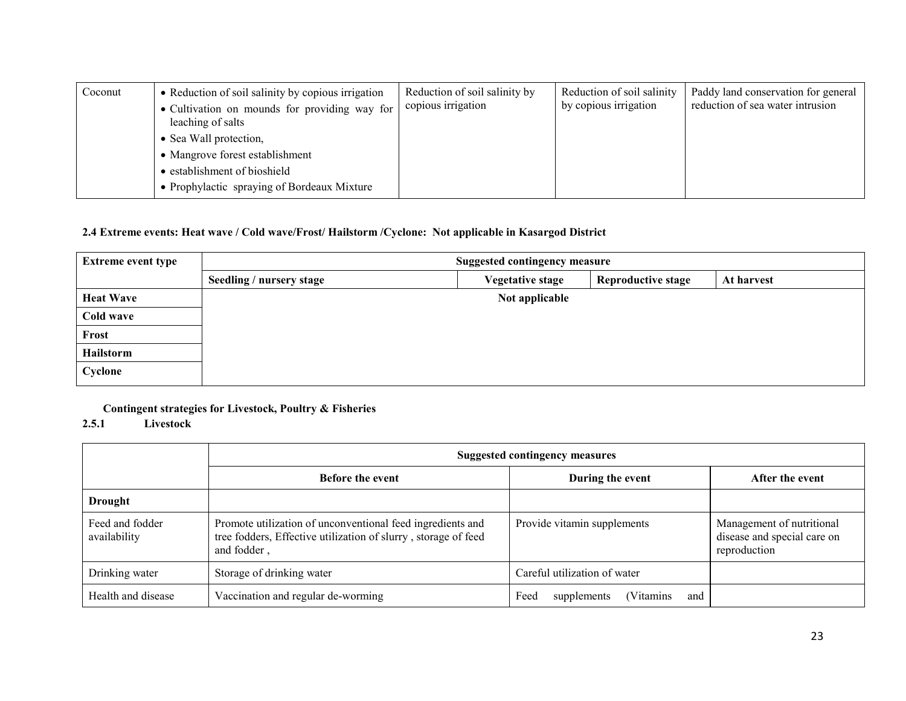| Coconut | • Reduction of soil salinity by copious irrigation<br>• Cultivation on mounds for providing way for<br>leaching of salts | Reduction of soil salinity by<br>copious irrigation | Reduction of soil salinity<br>by copious irrigation | Paddy land conservation for general<br>reduction of sea water intrusion |
|---------|--------------------------------------------------------------------------------------------------------------------------|-----------------------------------------------------|-----------------------------------------------------|-------------------------------------------------------------------------|
|         | • Sea Wall protection,                                                                                                   |                                                     |                                                     |                                                                         |
|         | • Mangrove forest establishment                                                                                          |                                                     |                                                     |                                                                         |
|         | • establishment of bioshield                                                                                             |                                                     |                                                     |                                                                         |
|         | • Prophylactic spraying of Bordeaux Mixture                                                                              |                                                     |                                                     |                                                                         |

#### 2.4 Extreme events: Heat wave / Cold wave/Frost/ Hailstorm /Cyclone: Not applicable in Kasargod District

| <b>Extreme event type</b> | <b>Suggested contingency measure</b> |                         |                           |            |  |
|---------------------------|--------------------------------------|-------------------------|---------------------------|------------|--|
|                           | Seedling / nursery stage             | <b>Vegetative stage</b> | <b>Reproductive stage</b> | At harvest |  |
| <b>Heat Wave</b>          | Not applicable                       |                         |                           |            |  |
| Cold wave                 |                                      |                         |                           |            |  |
| Frost                     |                                      |                         |                           |            |  |
| Hailstorm                 |                                      |                         |                           |            |  |
| Cyclone                   |                                      |                         |                           |            |  |

## Contingent strategies for Livestock, Poultry & Fisheries

#### 2.5.1 Livestock

|                                 | <b>Suggested contingency measures</b>                                                                                                       |                                         |                                                                          |  |  |
|---------------------------------|---------------------------------------------------------------------------------------------------------------------------------------------|-----------------------------------------|--------------------------------------------------------------------------|--|--|
|                                 | <b>Before the event</b>                                                                                                                     | During the event                        | After the event                                                          |  |  |
| <b>Drought</b>                  |                                                                                                                                             |                                         |                                                                          |  |  |
| Feed and fodder<br>availability | Promote utilization of unconventional feed ingredients and<br>tree fodders, Effective utilization of slurry, storage of feed<br>and fodder, | Provide vitamin supplements             | Management of nutritional<br>disease and special care on<br>reproduction |  |  |
| Drinking water                  | Storage of drinking water                                                                                                                   | Careful utilization of water            |                                                                          |  |  |
| Health and disease              | Vaccination and regular de-worming                                                                                                          | Feed<br>Vitamins)<br>supplements<br>and |                                                                          |  |  |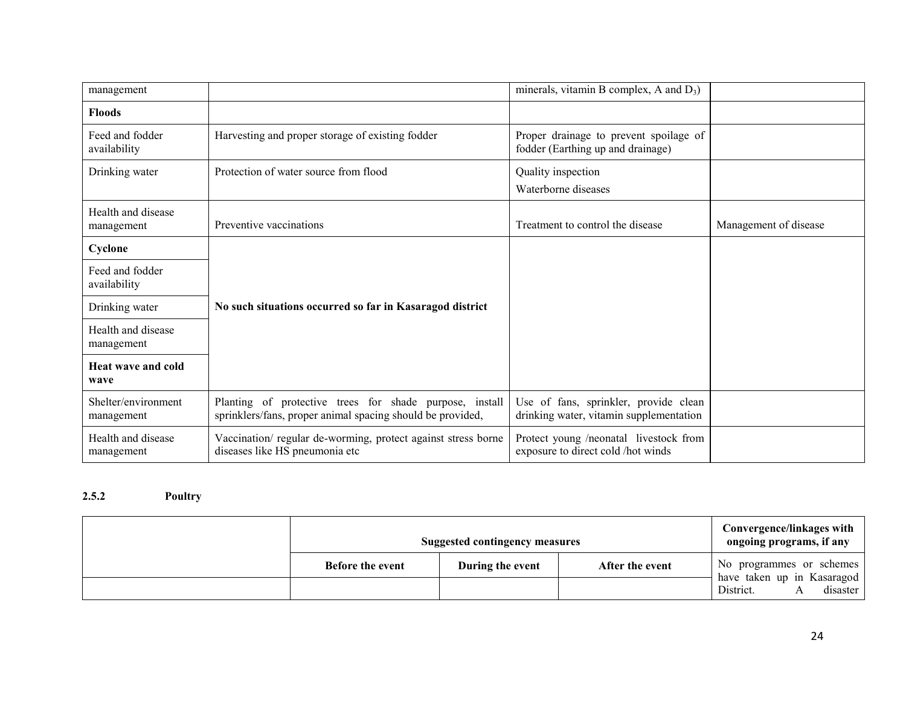| management                        |                                                                                                                       | minerals, vitamin B complex, $A$ and $D_3$ )                                     |                       |
|-----------------------------------|-----------------------------------------------------------------------------------------------------------------------|----------------------------------------------------------------------------------|-----------------------|
| <b>Floods</b>                     |                                                                                                                       |                                                                                  |                       |
| Feed and fodder<br>availability   | Harvesting and proper storage of existing fodder                                                                      | Proper drainage to prevent spoilage of<br>fodder (Earthing up and drainage)      |                       |
| Drinking water                    | Protection of water source from flood                                                                                 | Quality inspection                                                               |                       |
|                                   |                                                                                                                       | Waterborne diseases                                                              |                       |
| Health and disease<br>management  | Preventive vaccinations                                                                                               | Treatment to control the disease                                                 | Management of disease |
| Cyclone                           |                                                                                                                       |                                                                                  |                       |
| Feed and fodder<br>availability   |                                                                                                                       |                                                                                  |                       |
| Drinking water                    | No such situations occurred so far in Kasaragod district                                                              |                                                                                  |                       |
| Health and disease<br>management  |                                                                                                                       |                                                                                  |                       |
| Heat wave and cold<br>wave        |                                                                                                                       |                                                                                  |                       |
| Shelter/environment<br>management | Planting of protective trees for shade purpose, install<br>sprinklers/fans, proper animal spacing should be provided, | Use of fans, sprinkler, provide clean<br>drinking water, vitamin supplementation |                       |
| Health and disease<br>management  | Vaccination/regular de-worming, protect against stress borne<br>diseases like HS pneumonia etc                        | Protect young /neonatal livestock from<br>exposure to direct cold /hot winds     |                       |

# 2.5.2 Poultry

| <b>Suggested contingency measures</b> |                  |                 | Convergence/linkages with<br>ongoing programs, if any |
|---------------------------------------|------------------|-----------------|-------------------------------------------------------|
| <b>Before the event</b>               | During the event | After the event | No programmes or schemes                              |
|                                       |                  |                 | have taken up in Kasaragod<br>District.<br>disaster   |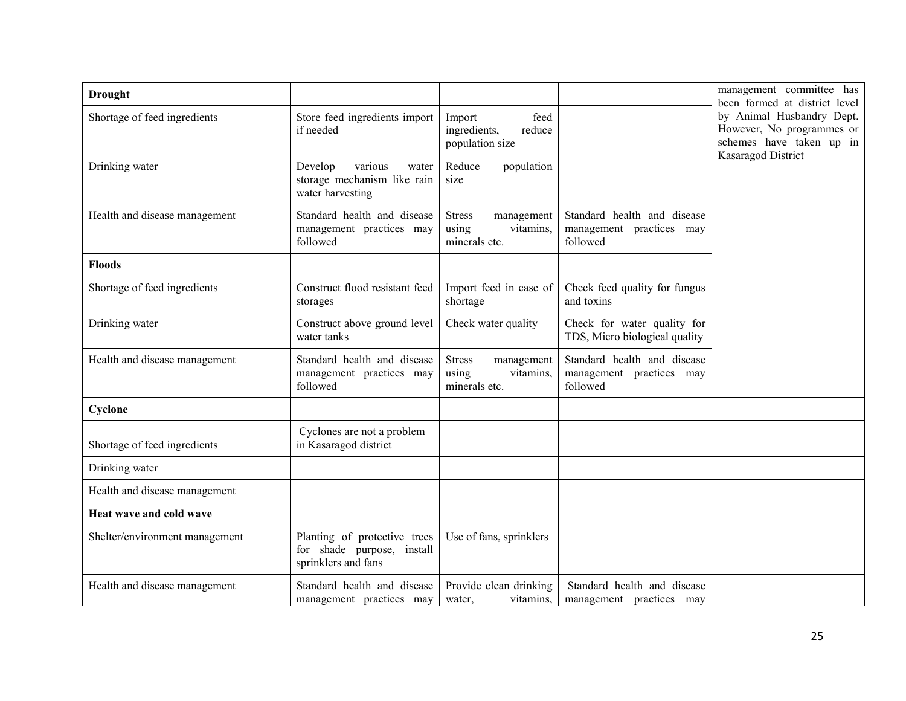| <b>Drought</b>                 |                                                                                   |                                                                    |                                                                     | management committee has<br>been formed at district level                          |
|--------------------------------|-----------------------------------------------------------------------------------|--------------------------------------------------------------------|---------------------------------------------------------------------|------------------------------------------------------------------------------------|
| Shortage of feed ingredients   | Store feed ingredients import<br>if needed                                        | feed<br>Import<br>ingredients,<br>reduce<br>population size        |                                                                     | by Animal Husbandry Dept.<br>However, No programmes or<br>schemes have taken up in |
| Drinking water                 | various<br>Develop<br>water<br>storage mechanism like rain<br>water harvesting    | Reduce<br>population<br>size                                       |                                                                     | Kasaragod District                                                                 |
| Health and disease management  | Standard health and disease<br>management practices may<br>followed               | <b>Stress</b><br>management<br>using<br>vitamins.<br>minerals etc. | Standard health and disease<br>management practices may<br>followed |                                                                                    |
| <b>Floods</b>                  |                                                                                   |                                                                    |                                                                     |                                                                                    |
| Shortage of feed ingredients   | Construct flood resistant feed<br>storages                                        | Import feed in case of<br>shortage                                 | Check feed quality for fungus<br>and toxins                         |                                                                                    |
| Drinking water                 | Construct above ground level<br>water tanks                                       | Check water quality                                                | Check for water quality for<br>TDS, Micro biological quality        |                                                                                    |
| Health and disease management  | Standard health and disease<br>management practices may<br>followed               | <b>Stress</b><br>management<br>using<br>vitamins,<br>minerals etc. | Standard health and disease<br>management practices may<br>followed |                                                                                    |
| Cyclone                        |                                                                                   |                                                                    |                                                                     |                                                                                    |
| Shortage of feed ingredients   | Cyclones are not a problem<br>in Kasaragod district                               |                                                                    |                                                                     |                                                                                    |
| Drinking water                 |                                                                                   |                                                                    |                                                                     |                                                                                    |
| Health and disease management  |                                                                                   |                                                                    |                                                                     |                                                                                    |
| Heat wave and cold wave        |                                                                                   |                                                                    |                                                                     |                                                                                    |
| Shelter/environment management | Planting of protective trees<br>for shade purpose, install<br>sprinklers and fans | Use of fans, sprinklers                                            |                                                                     |                                                                                    |
| Health and disease management  | Standard health and disease<br>management practices may                           | Provide clean drinking<br>vitamins,<br>water.                      | Standard health and disease<br>management practices may             |                                                                                    |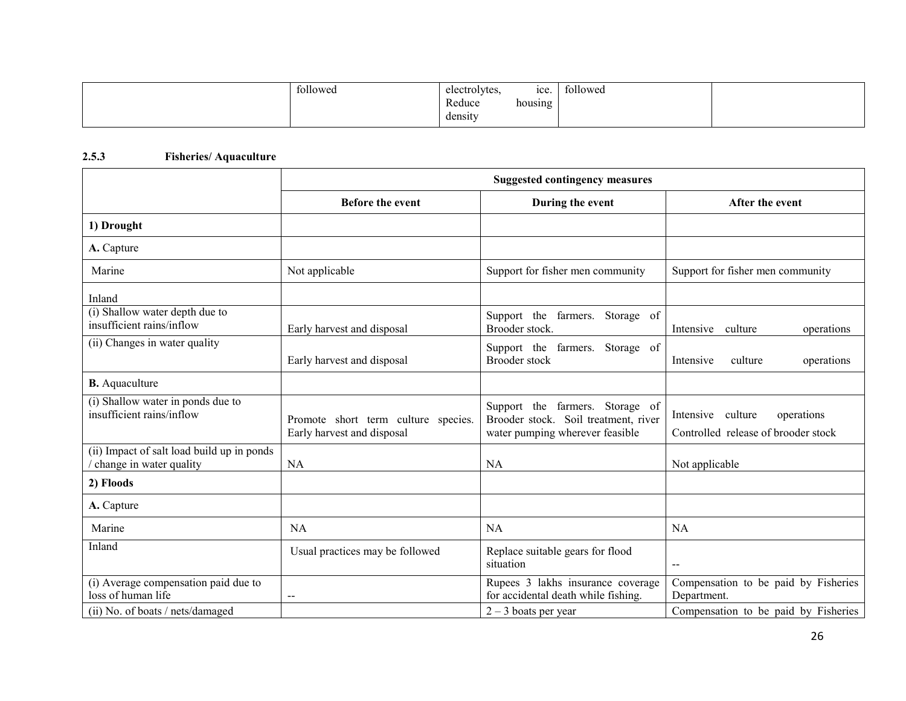| followed<br>$\cdots$ $\cdots$ | electrolytes.       | ice     | followed |  |
|-------------------------------|---------------------|---------|----------|--|
|                               | Reduce              | housing |          |  |
|                               | density<br>$\cdots$ |         |          |  |

# 2.5.3 Fisheries/ Aquaculture

|                                                                       | <b>Suggested contingency measures</b>                             |                                                                                                            |                                                                        |
|-----------------------------------------------------------------------|-------------------------------------------------------------------|------------------------------------------------------------------------------------------------------------|------------------------------------------------------------------------|
|                                                                       | Before the event                                                  | During the event                                                                                           | After the event                                                        |
| 1) Drought                                                            |                                                                   |                                                                                                            |                                                                        |
| A. Capture                                                            |                                                                   |                                                                                                            |                                                                        |
| Marine                                                                | Not applicable                                                    | Support for fisher men community                                                                           | Support for fisher men community                                       |
| Inland                                                                |                                                                   |                                                                                                            |                                                                        |
| (i) Shallow water depth due to<br>insufficient rains/inflow           | Early harvest and disposal                                        | Support the farmers. Storage of<br>Brooder stock.                                                          | Intensive<br>culture<br>operations                                     |
| (ii) Changes in water quality                                         | Early harvest and disposal                                        | Support the farmers.<br>Storage of<br>Brooder stock                                                        | Intensive<br>culture<br>operations                                     |
| <b>B.</b> Aquaculture                                                 |                                                                   |                                                                                                            |                                                                        |
| (i) Shallow water in ponds due to<br>insufficient rains/inflow        | Promote short term culture species.<br>Early harvest and disposal | Support the farmers. Storage of<br>Brooder stock. Soil treatment, river<br>water pumping wherever feasible | Intensive culture<br>operations<br>Controlled release of brooder stock |
| (ii) Impact of salt load build up in ponds<br>change in water quality | <b>NA</b>                                                         | <b>NA</b>                                                                                                  | Not applicable                                                         |
| 2) Floods                                                             |                                                                   |                                                                                                            |                                                                        |
| A. Capture                                                            |                                                                   |                                                                                                            |                                                                        |
| Marine                                                                | <b>NA</b>                                                         | <b>NA</b>                                                                                                  | <b>NA</b>                                                              |
| Inland                                                                | Usual practices may be followed                                   | Replace suitable gears for flood<br>situation                                                              | $\overline{\phantom{a}}$                                               |
| (i) Average compensation paid due to<br>loss of human life            | --                                                                | Rupees 3 lakhs insurance coverage<br>for accidental death while fishing.                                   | Compensation to be paid by Fisheries<br>Department.                    |
| (ii) No. of boats / nets/damaged                                      |                                                                   | $2 - 3$ boats per year                                                                                     | Compensation to be paid by Fisheries                                   |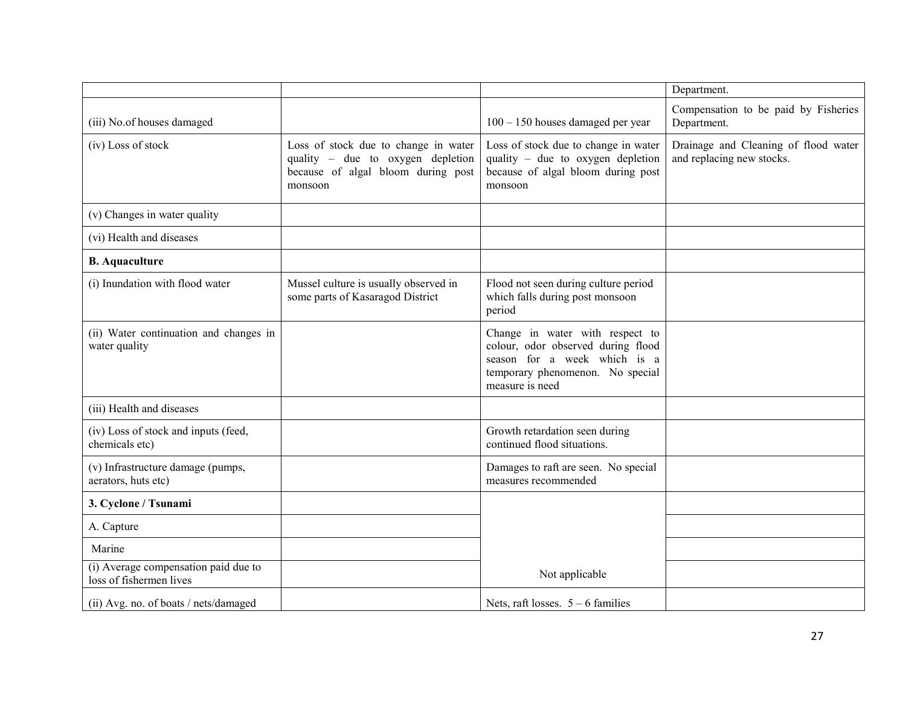|                                                                 |                                                                                                                            |                                                                                                                                                              | Department.                                                       |
|-----------------------------------------------------------------|----------------------------------------------------------------------------------------------------------------------------|--------------------------------------------------------------------------------------------------------------------------------------------------------------|-------------------------------------------------------------------|
| (iii) No.of houses damaged                                      |                                                                                                                            | $100 - 150$ houses damaged per year                                                                                                                          | Compensation to be paid by Fisheries<br>Department.               |
| (iv) Loss of stock                                              | Loss of stock due to change in water<br>quality - due to oxygen depletion<br>because of algal bloom during post<br>monsoon | Loss of stock due to change in water<br>quality – due to oxygen depletion<br>because of algal bloom during post<br>monsoon                                   | Drainage and Cleaning of flood water<br>and replacing new stocks. |
| (v) Changes in water quality                                    |                                                                                                                            |                                                                                                                                                              |                                                                   |
| (vi) Health and diseases                                        |                                                                                                                            |                                                                                                                                                              |                                                                   |
| <b>B.</b> Aquaculture                                           |                                                                                                                            |                                                                                                                                                              |                                                                   |
| (i) Inundation with flood water                                 | Mussel culture is usually observed in<br>some parts of Kasaragod District                                                  | Flood not seen during culture period<br>which falls during post monsoon<br>period                                                                            |                                                                   |
| (ii) Water continuation and changes in<br>water quality         |                                                                                                                            | Change in water with respect to<br>colour, odor observed during flood<br>season for a week which is a<br>temporary phenomenon. No special<br>measure is need |                                                                   |
| (iii) Health and diseases                                       |                                                                                                                            |                                                                                                                                                              |                                                                   |
| (iv) Loss of stock and inputs (feed,<br>chemicals etc)          |                                                                                                                            | Growth retardation seen during<br>continued flood situations.                                                                                                |                                                                   |
| (v) Infrastructure damage (pumps,<br>aerators, huts etc)        |                                                                                                                            | Damages to raft are seen. No special<br>measures recommended                                                                                                 |                                                                   |
| 3. Cyclone / Tsunami                                            |                                                                                                                            |                                                                                                                                                              |                                                                   |
| A. Capture                                                      |                                                                                                                            |                                                                                                                                                              |                                                                   |
| Marine                                                          |                                                                                                                            |                                                                                                                                                              |                                                                   |
| (i) Average compensation paid due to<br>loss of fishermen lives |                                                                                                                            | Not applicable                                                                                                                                               |                                                                   |
| (ii) Avg. no. of boats / nets/damaged                           |                                                                                                                            | Nets, raft losses. $5 - 6$ families                                                                                                                          |                                                                   |